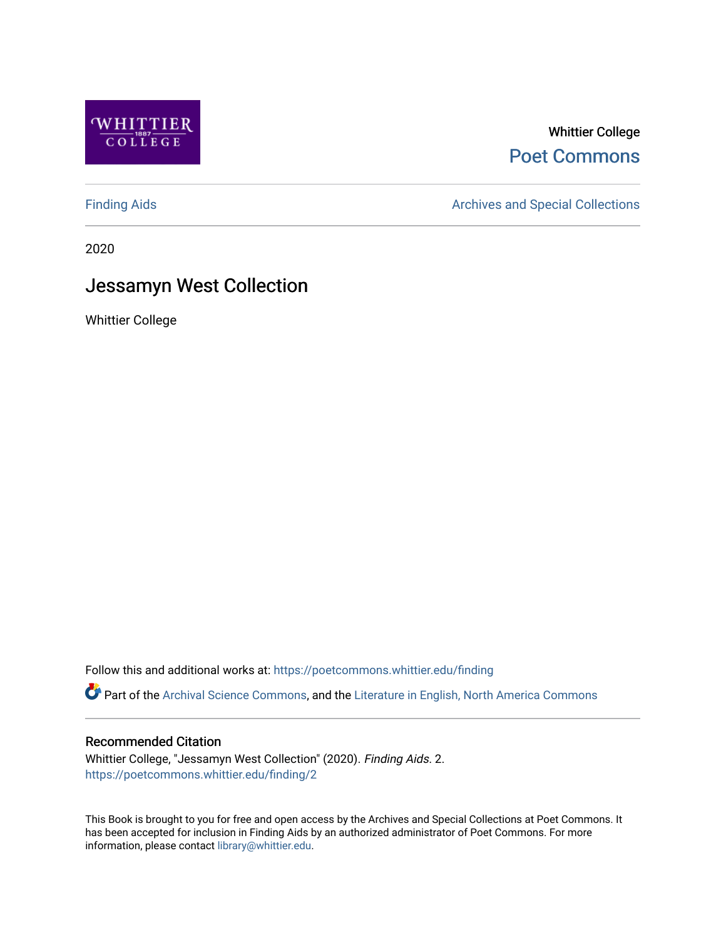

Whittier College [Poet Commons](https://poetcommons.whittier.edu/) 

[Finding Aids](https://poetcommons.whittier.edu/finding) **Archives and Special Collections** Archives and Special Collections

2020

# Jessamyn West Collection

Whittier College

Follow this and additional works at: [https://poetcommons.whittier.edu/finding](https://poetcommons.whittier.edu/finding?utm_source=poetcommons.whittier.edu%2Ffinding%2F2&utm_medium=PDF&utm_campaign=PDFCoverPages) 

Part of the [Archival Science Commons,](http://network.bepress.com/hgg/discipline/1021?utm_source=poetcommons.whittier.edu%2Ffinding%2F2&utm_medium=PDF&utm_campaign=PDFCoverPages) and the [Literature in English, North America Commons](http://network.bepress.com/hgg/discipline/458?utm_source=poetcommons.whittier.edu%2Ffinding%2F2&utm_medium=PDF&utm_campaign=PDFCoverPages)

#### Recommended Citation

Whittier College, "Jessamyn West Collection" (2020). Finding Aids. 2. [https://poetcommons.whittier.edu/finding/2](https://poetcommons.whittier.edu/finding/2?utm_source=poetcommons.whittier.edu%2Ffinding%2F2&utm_medium=PDF&utm_campaign=PDFCoverPages)

This Book is brought to you for free and open access by the Archives and Special Collections at Poet Commons. It has been accepted for inclusion in Finding Aids by an authorized administrator of Poet Commons. For more information, please contact [library@whittier.edu.](mailto:library@whittier.edu)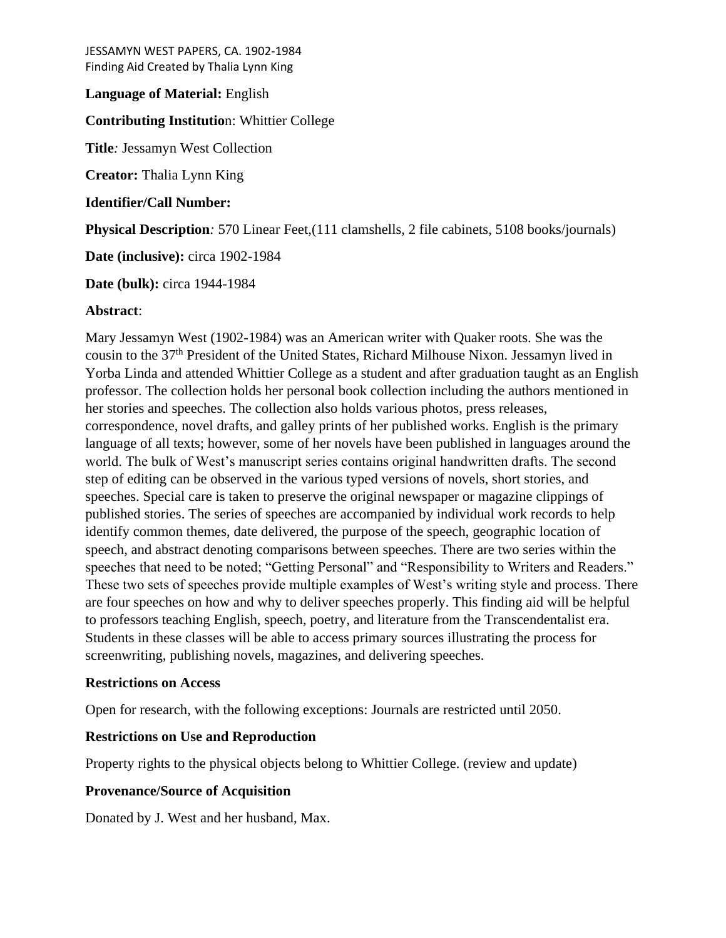## **Language of Material:** English

#### **Contributing Institutio**n: Whittier College

**Title***:* Jessamyn West Collection

**Creator:** Thalia Lynn King

**Identifier/Call Number:**

**Physical Description***:* 570 Linear Feet,(111 clamshells, 2 file cabinets, 5108 books/journals)

**Date (inclusive):** circa 1902-1984

**Date (bulk):** circa 1944-1984

#### **Abstract**:

Mary Jessamyn West (1902-1984) was an American writer with Quaker roots. She was the cousin to the 37th President of the United States, Richard Milhouse Nixon. Jessamyn lived in Yorba Linda and attended Whittier College as a student and after graduation taught as an English professor. The collection holds her personal book collection including the authors mentioned in her stories and speeches. The collection also holds various photos, press releases, correspondence, novel drafts, and galley prints of her published works. English is the primary language of all texts; however, some of her novels have been published in languages around the world. The bulk of West's manuscript series contains original handwritten drafts. The second step of editing can be observed in the various typed versions of novels, short stories, and speeches. Special care is taken to preserve the original newspaper or magazine clippings of published stories. The series of speeches are accompanied by individual work records to help identify common themes, date delivered, the purpose of the speech, geographic location of speech, and abstract denoting comparisons between speeches. There are two series within the speeches that need to be noted; "Getting Personal" and "Responsibility to Writers and Readers." These two sets of speeches provide multiple examples of West's writing style and process. There are four speeches on how and why to deliver speeches properly. This finding aid will be helpful to professors teaching English, speech, poetry, and literature from the Transcendentalist era. Students in these classes will be able to access primary sources illustrating the process for screenwriting, publishing novels, magazines, and delivering speeches.

## **Restrictions on Access**

Open for research, with the following exceptions: Journals are restricted until 2050.

## **Restrictions on Use and Reproduction**

Property rights to the physical objects belong to Whittier College. (review and update)

## **Provenance/Source of Acquisition**

Donated by J. West and her husband, Max.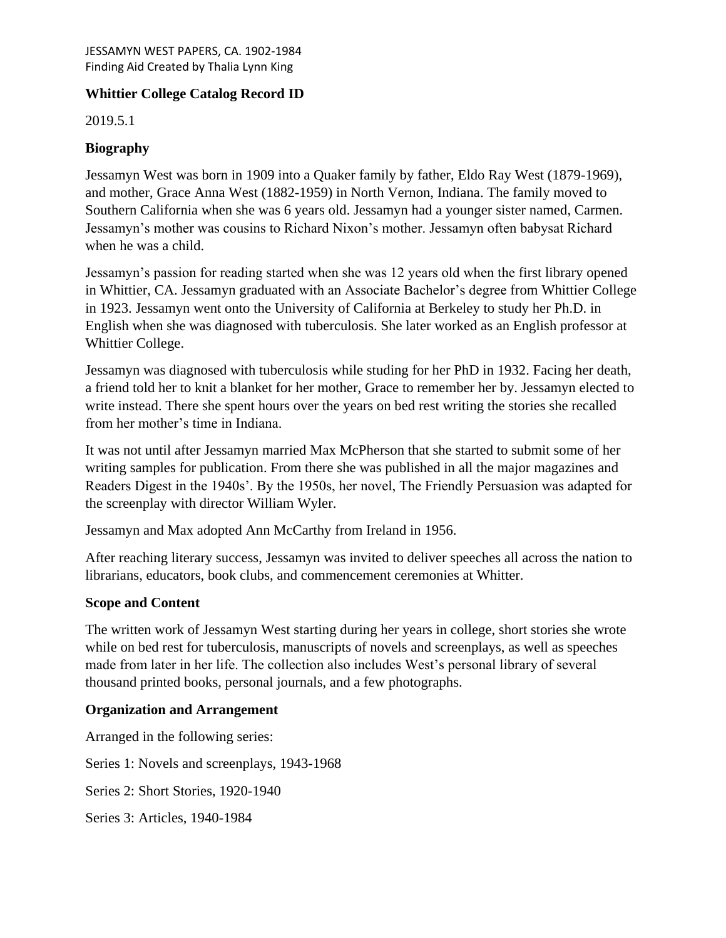# **Whittier College Catalog Record ID**

2019.5.1

# **Biography**

Jessamyn West was born in 1909 into a Quaker family by father, Eldo Ray West (1879-1969), and mother, Grace Anna West (1882-1959) in North Vernon, Indiana. The family moved to Southern California when she was 6 years old. Jessamyn had a younger sister named, Carmen. Jessamyn's mother was cousins to Richard Nixon's mother. Jessamyn often babysat Richard when he was a child.

Jessamyn's passion for reading started when she was 12 years old when the first library opened in Whittier, CA. Jessamyn graduated with an Associate Bachelor's degree from Whittier College in 1923. Jessamyn went onto the University of California at Berkeley to study her Ph.D. in English when she was diagnosed with tuberculosis. She later worked as an English professor at Whittier College.

Jessamyn was diagnosed with tuberculosis while studing for her PhD in 1932. Facing her death, a friend told her to knit a blanket for her mother, Grace to remember her by. Jessamyn elected to write instead. There she spent hours over the years on bed rest writing the stories she recalled from her mother's time in Indiana.

It was not until after Jessamyn married Max McPherson that she started to submit some of her writing samples for publication. From there she was published in all the major magazines and Readers Digest in the 1940s'. By the 1950s, her novel, The Friendly Persuasion was adapted for the screenplay with director William Wyler.

Jessamyn and Max adopted Ann McCarthy from Ireland in 1956.

After reaching literary success, Jessamyn was invited to deliver speeches all across the nation to librarians, educators, book clubs, and commencement ceremonies at Whitter.

# **Scope and Content**

The written work of Jessamyn West starting during her years in college, short stories she wrote while on bed rest for tuberculosis, manuscripts of novels and screenplays, as well as speeches made from later in her life. The collection also includes West's personal library of several thousand printed books, personal journals, and a few photographs.

## **Organization and Arrangement**

Arranged in the following series:

Series 1: Novels and screenplays, 1943-1968

Series 2: Short Stories, 1920-1940

Series 3: Articles, 1940-1984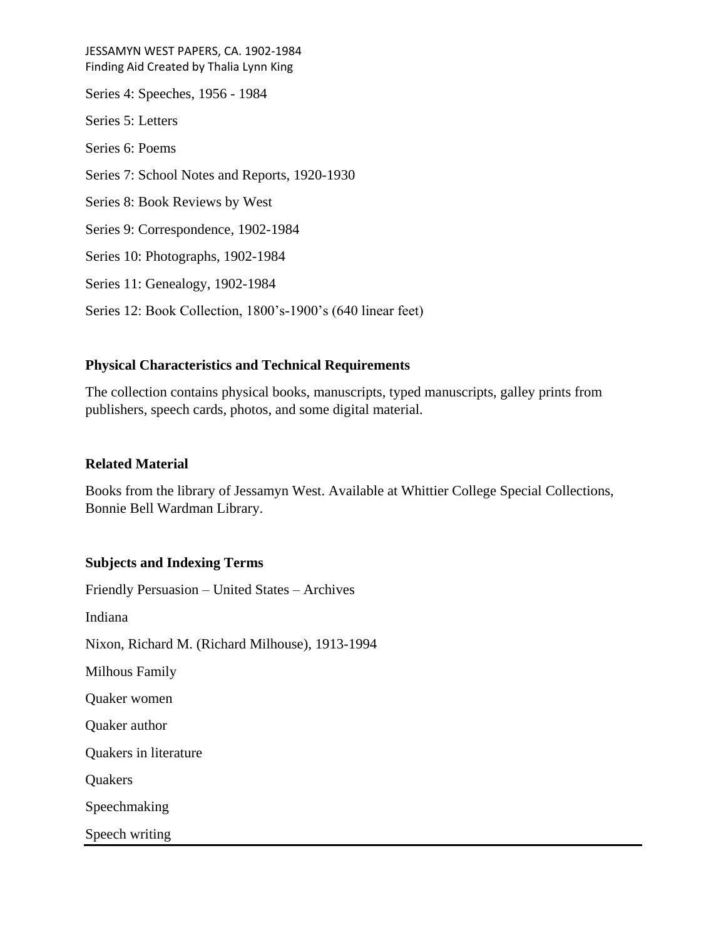JESSAMYN WEST PAPERS, CA. 1902-1984 Finding Aid Created by Thalia Lynn King Series 4: Speeches, 1956 - 1984 Series 5: Letters Series 6: Poems Series 7: School Notes and Reports, 1920-1930 Series 8: Book Reviews by West Series 9: Correspondence, 1902-1984 Series 10: Photographs, 1902-1984 Series 11: Genealogy, 1902-1984 Series 12: Book Collection, 1800's-1900's (640 linear feet)

## **Physical Characteristics and Technical Requirements**

The collection contains physical books, manuscripts, typed manuscripts, galley prints from publishers, speech cards, photos, and some digital material.

## **Related Material**

Books from the library of Jessamyn West. Available at Whittier College Special Collections, Bonnie Bell Wardman Library.

## **Subjects and Indexing Terms**

Friendly Persuasion – United States – Archives Indiana Nixon, Richard M. (Richard Milhouse), 1913-1994 Milhous Family Quaker women Quaker author Quakers in literature **Quakers** Speechmaking Speech writing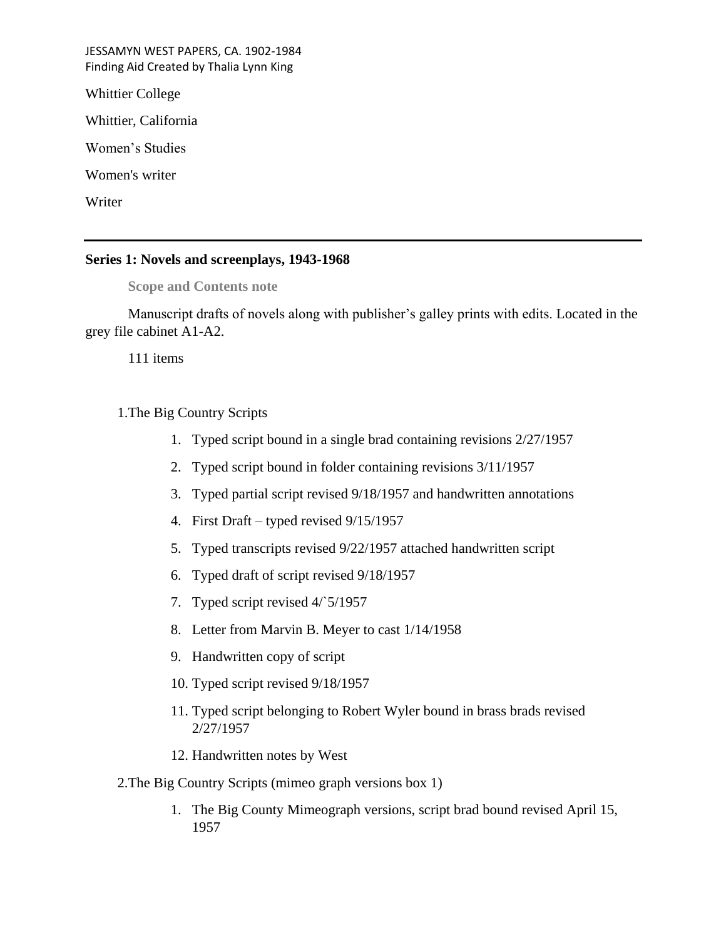Whittier College

Whittier, California

Women's Studies

Women's writer

Writer

#### **Series 1: Novels and screenplays, 1943-1968**

## **Scope and Contents note**

Manuscript drafts of novels along with publisher's galley prints with edits. Located in the grey file cabinet A1-A2.

111 items

# 1.The Big Country Scripts

- 1. Typed script bound in a single brad containing revisions 2/27/1957
- 2. Typed script bound in folder containing revisions 3/11/1957
- 3. Typed partial script revised 9/18/1957 and handwritten annotations
- 4. First Draft typed revised 9/15/1957
- 5. Typed transcripts revised 9/22/1957 attached handwritten script
- 6. Typed draft of script revised 9/18/1957
- 7. Typed script revised 4/`5/1957
- 8. Letter from Marvin B. Meyer to cast 1/14/1958
- 9. Handwritten copy of script
- 10. Typed script revised 9/18/1957
- 11. Typed script belonging to Robert Wyler bound in brass brads revised 2/27/1957
- 12. Handwritten notes by West
- 2.The Big Country Scripts (mimeo graph versions box 1)
	- 1. The Big County Mimeograph versions, script brad bound revised April 15, 1957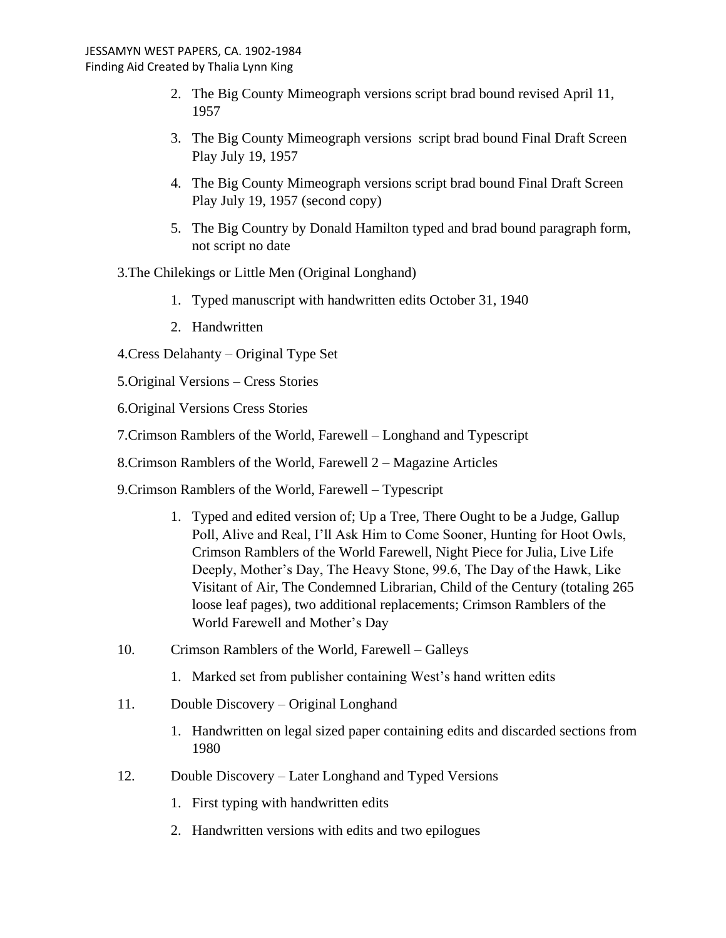- 2. The Big County Mimeograph versions script brad bound revised April 11, 1957
- 3. The Big County Mimeograph versions script brad bound Final Draft Screen Play July 19, 1957
- 4. The Big County Mimeograph versions script brad bound Final Draft Screen Play July 19, 1957 (second copy)
- 5. The Big Country by Donald Hamilton typed and brad bound paragraph form, not script no date
- 3.The Chilekings or Little Men (Original Longhand)
	- 1. Typed manuscript with handwritten edits October 31, 1940
	- 2. Handwritten
- 4.Cress Delahanty Original Type Set
- 5.Original Versions Cress Stories
- 6.Original Versions Cress Stories
- 7.Crimson Ramblers of the World, Farewell Longhand and Typescript
- 8.Crimson Ramblers of the World, Farewell 2 Magazine Articles
- 9.Crimson Ramblers of the World, Farewell Typescript
	- 1. Typed and edited version of; Up a Tree, There Ought to be a Judge, Gallup Poll, Alive and Real, I'll Ask Him to Come Sooner, Hunting for Hoot Owls, Crimson Ramblers of the World Farewell, Night Piece for Julia, Live Life Deeply, Mother's Day, The Heavy Stone, 99.6, The Day of the Hawk, Like Visitant of Air, The Condemned Librarian, Child of the Century (totaling 265 loose leaf pages), two additional replacements; Crimson Ramblers of the World Farewell and Mother's Day
- 10. Crimson Ramblers of the World, Farewell Galleys
	- 1. Marked set from publisher containing West's hand written edits
- 11. Double Discovery Original Longhand
	- 1. Handwritten on legal sized paper containing edits and discarded sections from 1980
- 12. Double Discovery Later Longhand and Typed Versions
	- 1. First typing with handwritten edits
	- 2. Handwritten versions with edits and two epilogues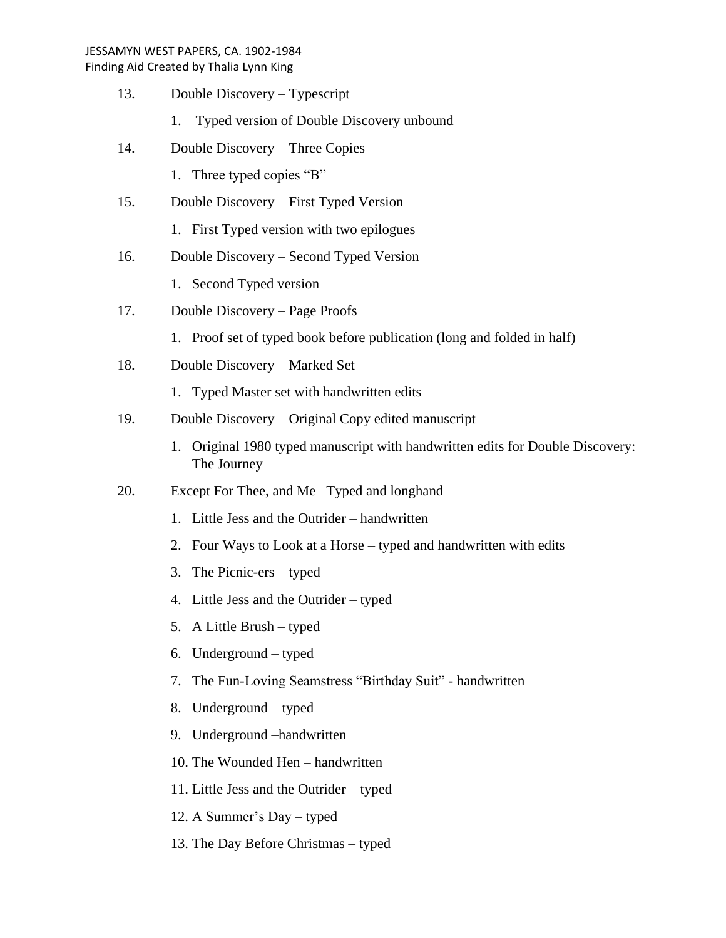Finding Aid Created by Thalia Lynn King

- 13. Double Discovery Typescript
	- 1. Typed version of Double Discovery unbound
- 14. Double Discovery Three Copies
	- 1. Three typed copies "B"
- 15. Double Discovery First Typed Version
	- 1. First Typed version with two epilogues
- 16. Double Discovery Second Typed Version
	- 1. Second Typed version
- 17. Double Discovery Page Proofs
	- 1. Proof set of typed book before publication (long and folded in half)
- 18. Double Discovery Marked Set
	- 1. Typed Master set with handwritten edits
- 19. Double Discovery Original Copy edited manuscript
	- 1. Original 1980 typed manuscript with handwritten edits for Double Discovery: The Journey
- 20. Except For Thee, and Me –Typed and longhand
	- 1. Little Jess and the Outrider handwritten
	- 2. Four Ways to Look at a Horse typed and handwritten with edits
	- 3. The Picnic-ers typed
	- 4. Little Jess and the Outrider typed
	- 5. A Little Brush typed
	- 6. Underground typed
	- 7. The Fun-Loving Seamstress "Birthday Suit" handwritten
	- 8. Underground typed
	- 9. Underground –handwritten
	- 10. The Wounded Hen handwritten
	- 11. Little Jess and the Outrider typed
	- 12. A Summer's Day typed
	- 13. The Day Before Christmas typed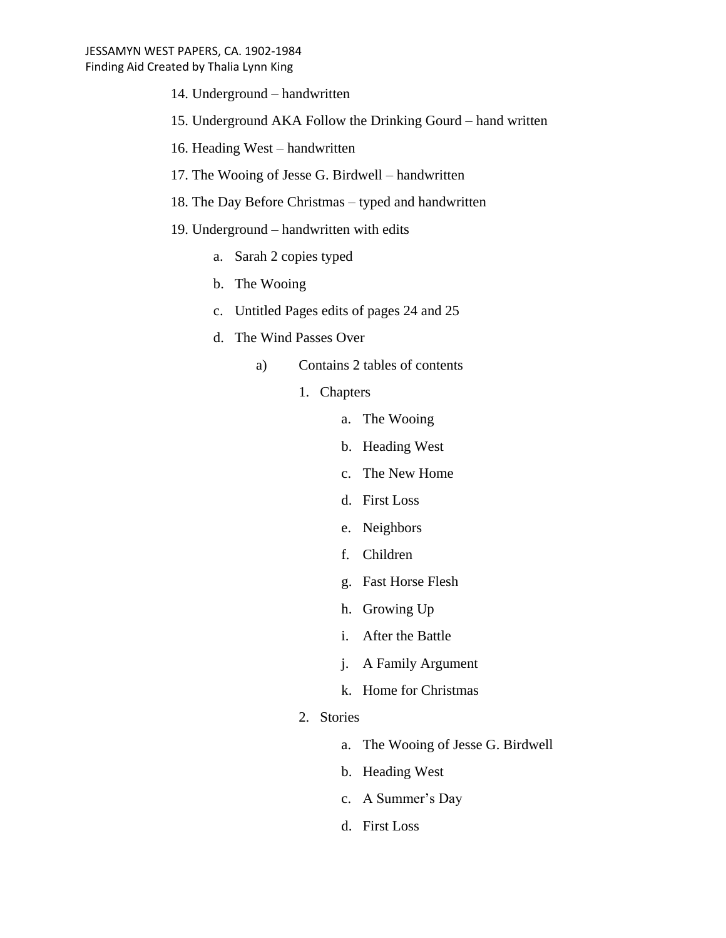- 14. Underground handwritten
- 15. Underground AKA Follow the Drinking Gourd hand written
- 16. Heading West handwritten
- 17. The Wooing of Jesse G. Birdwell handwritten
- 18. The Day Before Christmas typed and handwritten
- 19. Underground handwritten with edits
	- a. Sarah 2 copies typed
	- b. The Wooing
	- c. Untitled Pages edits of pages 24 and 25
	- d. The Wind Passes Over
		- a) Contains 2 tables of contents
			- 1. Chapters
				- a. The Wooing
				- b. Heading West
				- c. The New Home
				- d. First Loss
				- e. Neighbors
				- f. Children
				- g. Fast Horse Flesh
				- h. Growing Up
				- i. After the Battle
				- j. A Family Argument
				- k. Home for Christmas
			- 2. Stories
				- a. The Wooing of Jesse G. Birdwell
				- b. Heading West
				- c. A Summer's Day
				- d. First Loss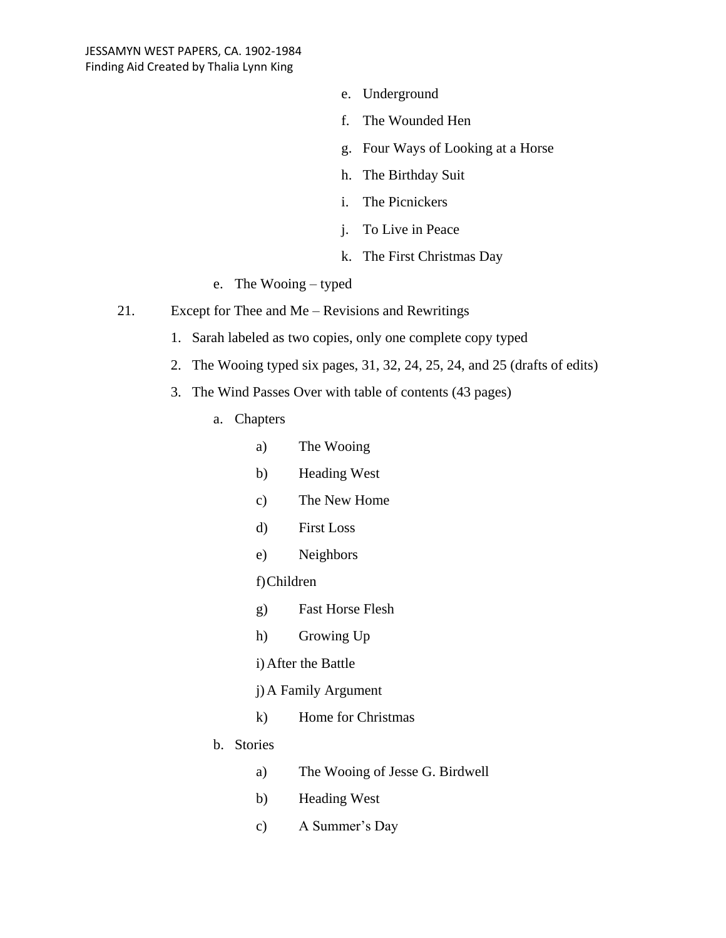- e. Underground
- f. The Wounded Hen
- g. Four Ways of Looking at a Horse
- h. The Birthday Suit
- i. The Picnickers
- j. To Live in Peace
- k. The First Christmas Day
- e. The Wooing typed
- 21. Except for Thee and Me Revisions and Rewritings
	- 1. Sarah labeled as two copies, only one complete copy typed
	- 2. The Wooing typed six pages, 31, 32, 24, 25, 24, and 25 (drafts of edits)
	- 3. The Wind Passes Over with table of contents (43 pages)
		- a. Chapters
			- a) The Wooing
			- b) Heading West
			- c) The New Home
			- d) First Loss
			- e) Neighbors

## f)Children

- g) Fast Horse Flesh
- h) Growing Up
- i)After the Battle
- j)A Family Argument
- k) Home for Christmas
- b. Stories
	- a) The Wooing of Jesse G. Birdwell
	- b) Heading West
	- c) A Summer's Day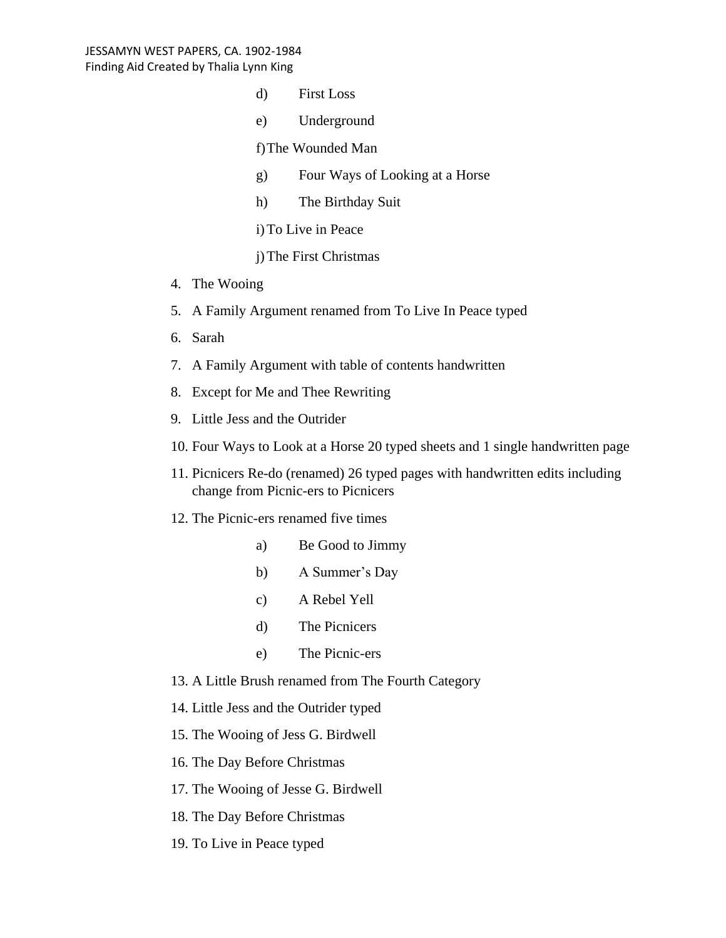- d) First Loss
- e) Underground

f)The Wounded Man

- g) Four Ways of Looking at a Horse
- h) The Birthday Suit
- i)To Live in Peace
- j)The First Christmas
- 4. The Wooing
- 5. A Family Argument renamed from To Live In Peace typed
- 6. Sarah
- 7. A Family Argument with table of contents handwritten
- 8. Except for Me and Thee Rewriting
- 9. Little Jess and the Outrider
- 10. Four Ways to Look at a Horse 20 typed sheets and 1 single handwritten page
- 11. Picnicers Re-do (renamed) 26 typed pages with handwritten edits including change from Picnic-ers to Picnicers
- 12. The Picnic-ers renamed five times
	- a) Be Good to Jimmy
	- b) A Summer's Day
	- c) A Rebel Yell
	- d) The Picnicers
	- e) The Picnic-ers

13. A Little Brush renamed from The Fourth Category

- 14. Little Jess and the Outrider typed
- 15. The Wooing of Jess G. Birdwell
- 16. The Day Before Christmas
- 17. The Wooing of Jesse G. Birdwell
- 18. The Day Before Christmas
- 19. To Live in Peace typed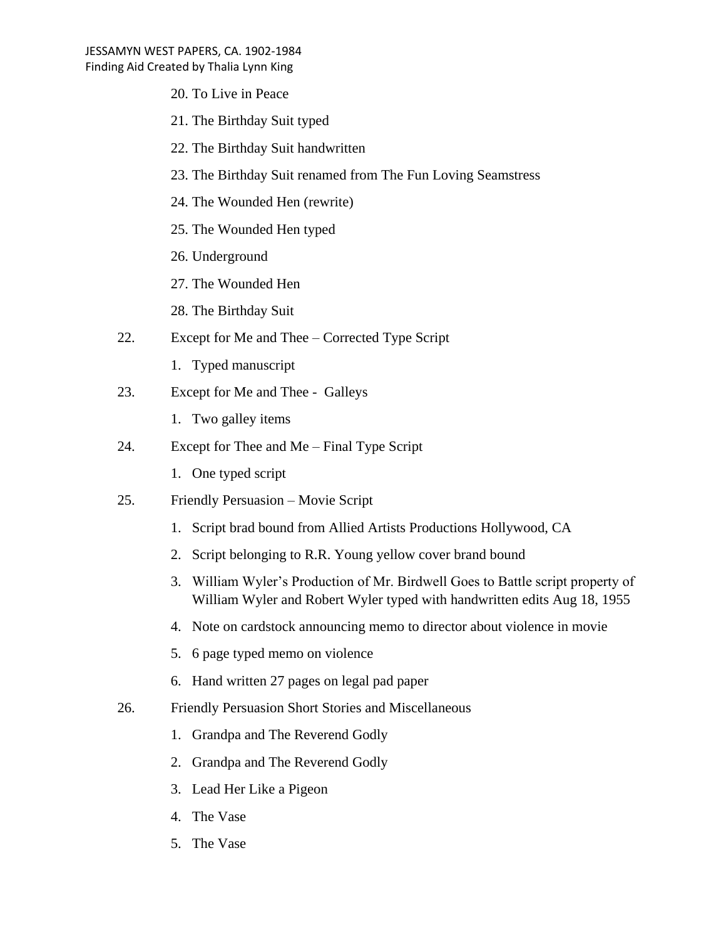- 20. To Live in Peace
- 21. The Birthday Suit typed
- 22. The Birthday Suit handwritten
- 23. The Birthday Suit renamed from The Fun Loving Seamstress
- 24. The Wounded Hen (rewrite)
- 25. The Wounded Hen typed
- 26. Underground
- 27. The Wounded Hen
- 28. The Birthday Suit
- 22. Except for Me and Thee Corrected Type Script
	- 1. Typed manuscript
- 23. Except for Me and Thee Galleys
	- 1. Two galley items
- 24. Except for Thee and Me Final Type Script
	- 1. One typed script
- 25. Friendly Persuasion Movie Script
	- 1. Script brad bound from Allied Artists Productions Hollywood, CA
	- 2. Script belonging to R.R. Young yellow cover brand bound
	- 3. William Wyler's Production of Mr. Birdwell Goes to Battle script property of William Wyler and Robert Wyler typed with handwritten edits Aug 18, 1955
	- 4. Note on cardstock announcing memo to director about violence in movie
	- 5. 6 page typed memo on violence
	- 6. Hand written 27 pages on legal pad paper
- 26. Friendly Persuasion Short Stories and Miscellaneous
	- 1. Grandpa and The Reverend Godly
	- 2. Grandpa and The Reverend Godly
	- 3. Lead Her Like a Pigeon
	- 4. The Vase
	- 5. The Vase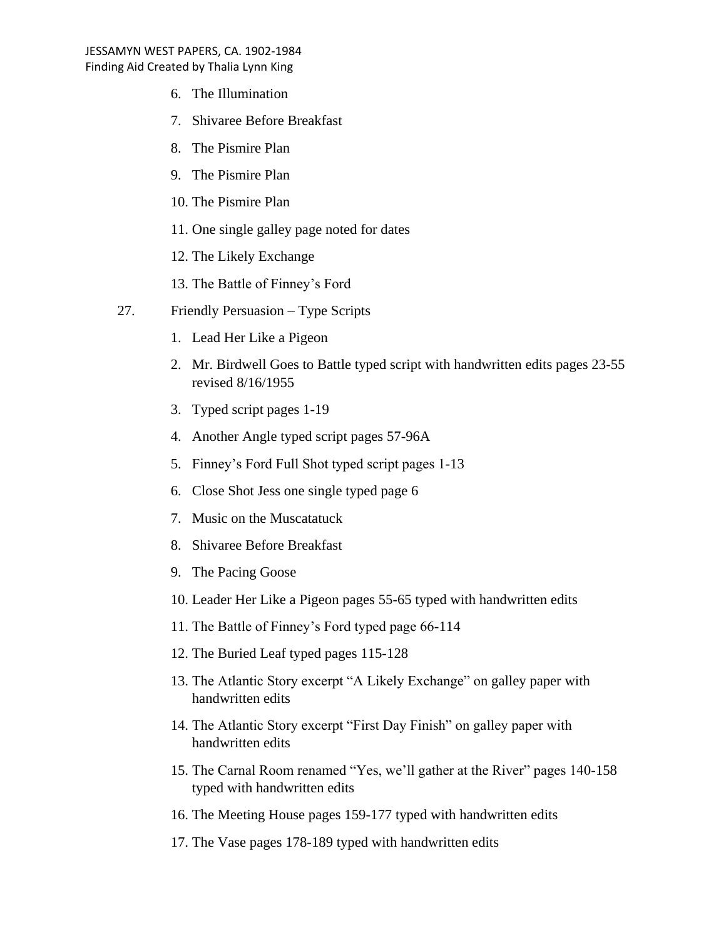- 6. The Illumination
- 7. Shivaree Before Breakfast
- 8. The Pismire Plan
- 9. The Pismire Plan
- 10. The Pismire Plan
- 11. One single galley page noted for dates
- 12. The Likely Exchange
- 13. The Battle of Finney's Ford
- 27. Friendly Persuasion Type Scripts
	- 1. Lead Her Like a Pigeon
	- 2. Mr. Birdwell Goes to Battle typed script with handwritten edits pages 23-55 revised 8/16/1955
	- 3. Typed script pages 1-19
	- 4. Another Angle typed script pages 57-96A
	- 5. Finney's Ford Full Shot typed script pages 1-13
	- 6. Close Shot Jess one single typed page 6
	- 7. Music on the Muscatatuck
	- 8. Shivaree Before Breakfast
	- 9. The Pacing Goose
	- 10. Leader Her Like a Pigeon pages 55-65 typed with handwritten edits
	- 11. The Battle of Finney's Ford typed page 66-114
	- 12. The Buried Leaf typed pages 115-128
	- 13. The Atlantic Story excerpt "A Likely Exchange" on galley paper with handwritten edits
	- 14. The Atlantic Story excerpt "First Day Finish" on galley paper with handwritten edits
	- 15. The Carnal Room renamed "Yes, we'll gather at the River" pages 140-158 typed with handwritten edits
	- 16. The Meeting House pages 159-177 typed with handwritten edits
	- 17. The Vase pages 178-189 typed with handwritten edits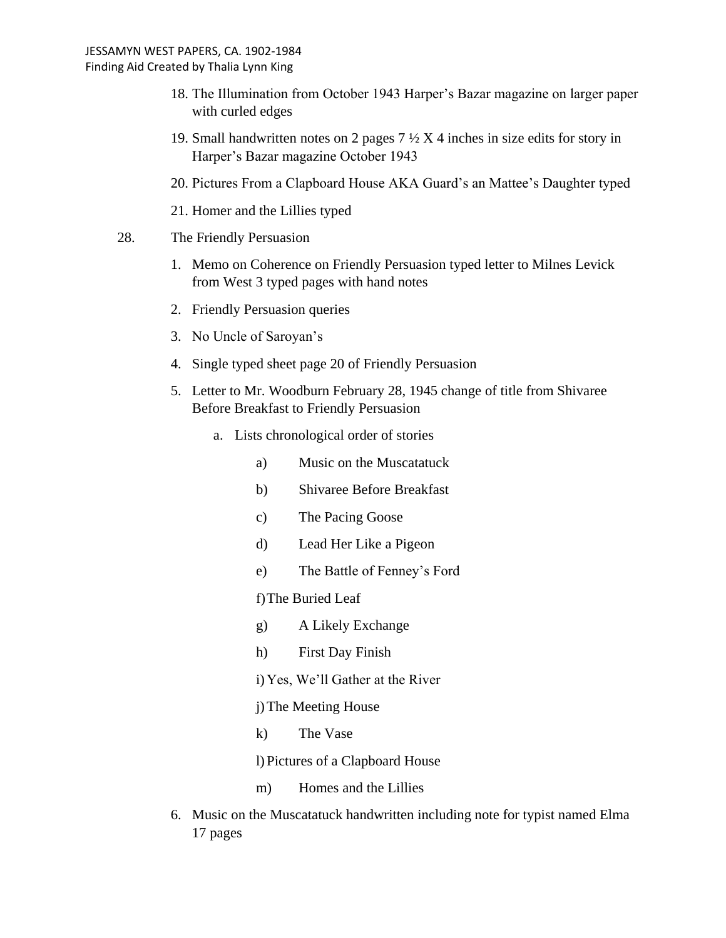- 18. The Illumination from October 1943 Harper's Bazar magazine on larger paper with curled edges
- 19. Small handwritten notes on 2 pages  $7\frac{1}{2}$  X 4 inches in size edits for story in Harper's Bazar magazine October 1943
- 20. Pictures From a Clapboard House AKA Guard's an Mattee's Daughter typed
- 21. Homer and the Lillies typed
- 28. The Friendly Persuasion
	- 1. Memo on Coherence on Friendly Persuasion typed letter to Milnes Levick from West 3 typed pages with hand notes
	- 2. Friendly Persuasion queries
	- 3. No Uncle of Saroyan's
	- 4. Single typed sheet page 20 of Friendly Persuasion
	- 5. Letter to Mr. Woodburn February 28, 1945 change of title from Shivaree Before Breakfast to Friendly Persuasion
		- a. Lists chronological order of stories
			- a) Music on the Muscatatuck
			- b) Shivaree Before Breakfast
			- c) The Pacing Goose
			- d) Lead Her Like a Pigeon
			- e) The Battle of Fenney's Ford
			- f)The Buried Leaf
			- g) A Likely Exchange
			- h) First Day Finish
			- i)Yes, We'll Gather at the River
			- j)The Meeting House
			- k) The Vase

l)Pictures of a Clapboard House

- m) Homes and the Lillies
- 6. Music on the Muscatatuck handwritten including note for typist named Elma 17 pages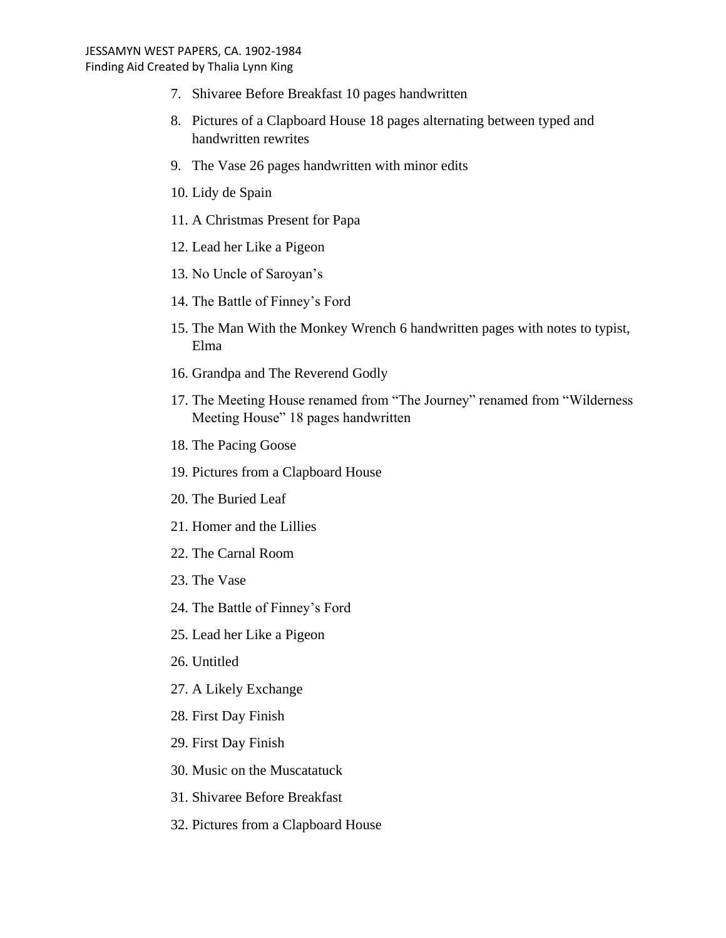- 7. Shivaree Before Breakfast 10 pages handwritten
- 8. Pictures of a Clapboard House 18 pages alternating between typed and handwritten rewrites
- 9. The Vase 26 pages handwritten with minor edits
- 10. Lidy de Spain
- 11. A Christmas Present for Papa
- 12. Lead her Like a Pigeon
- 13. No Uncle of Saroyan's
- 14. The Battle of Finney's Ford
- 15. The Man With the Monkey Wrench 6 handwritten pages with notes to typist, Elma
- 16. Grandpa and The Reverend Godly
- 17. The Meeting House renamed from "The Journey" renamed from "Wilderness Meeting House" 18 pages handwritten
- 18. The Pacing Goose
- 19. Pictures from a Clapboard House
- 20. The Buried Leaf
- 21. Homer and the Lillies
- 22. The Carnal Room
- 23. The Vase
- 24. The Battle of Finney's Ford
- 25. Lead her Like a Pigeon
- 26. Untitled
- 27. A Likely Exchange
- 28. First Day Finish
- 29. First Day Finish
- 30. Music on the Muscatatuck
- 31. Shivaree Before Breakfast
- 32. Pictures from a Clapboard House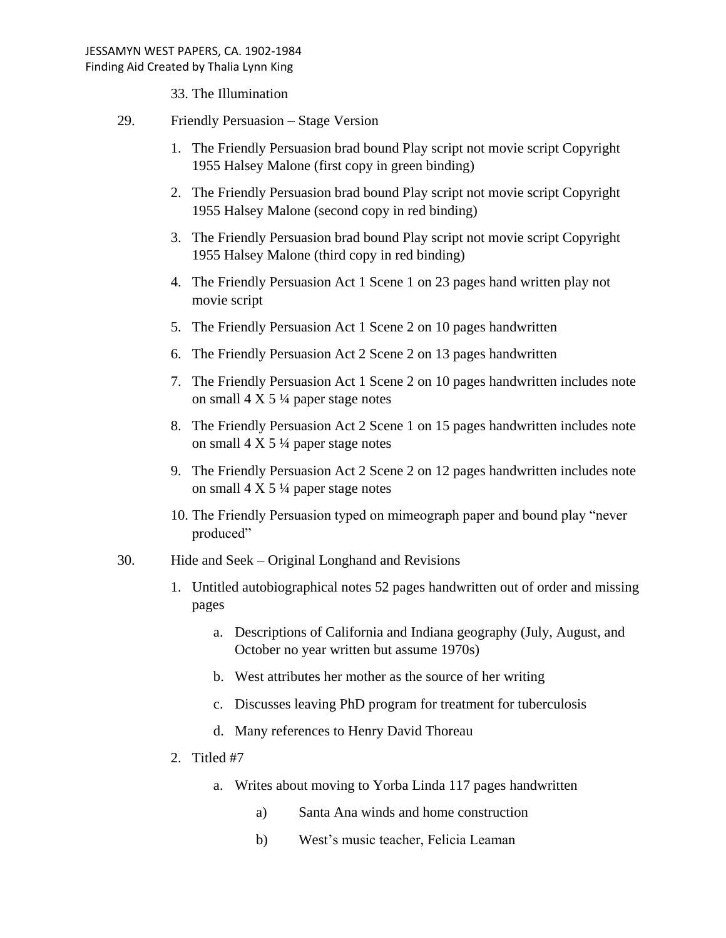33. The Illumination

- 29. Friendly Persuasion Stage Version
	- 1. The Friendly Persuasion brad bound Play script not movie script Copyright 1955 Halsey Malone (first copy in green binding)
	- 2. The Friendly Persuasion brad bound Play script not movie script Copyright 1955 Halsey Malone (second copy in red binding)
	- 3. The Friendly Persuasion brad bound Play script not movie script Copyright 1955 Halsey Malone (third copy in red binding)
	- 4. The Friendly Persuasion Act 1 Scene 1 on 23 pages hand written play not movie script
	- 5. The Friendly Persuasion Act 1 Scene 2 on 10 pages handwritten
	- 6. The Friendly Persuasion Act 2 Scene 2 on 13 pages handwritten
	- 7. The Friendly Persuasion Act 1 Scene 2 on 10 pages handwritten includes note on small  $4 \times 5\frac{1}{4}$  paper stage notes
	- 8. The Friendly Persuasion Act 2 Scene 1 on 15 pages handwritten includes note on small  $4 \times 5\frac{1}{4}$  paper stage notes
	- 9. The Friendly Persuasion Act 2 Scene 2 on 12 pages handwritten includes note on small  $4 \times 5\frac{1}{4}$  paper stage notes
	- 10. The Friendly Persuasion typed on mimeograph paper and bound play "never produced"
- 30. Hide and Seek Original Longhand and Revisions
	- 1. Untitled autobiographical notes 52 pages handwritten out of order and missing pages
		- a. Descriptions of California and Indiana geography (July, August, and October no year written but assume 1970s)
		- b. West attributes her mother as the source of her writing
		- c. Discusses leaving PhD program for treatment for tuberculosis
		- d. Many references to Henry David Thoreau
	- 2. Titled #7
		- a. Writes about moving to Yorba Linda 117 pages handwritten
			- a) Santa Ana winds and home construction
			- b) West's music teacher, Felicia Leaman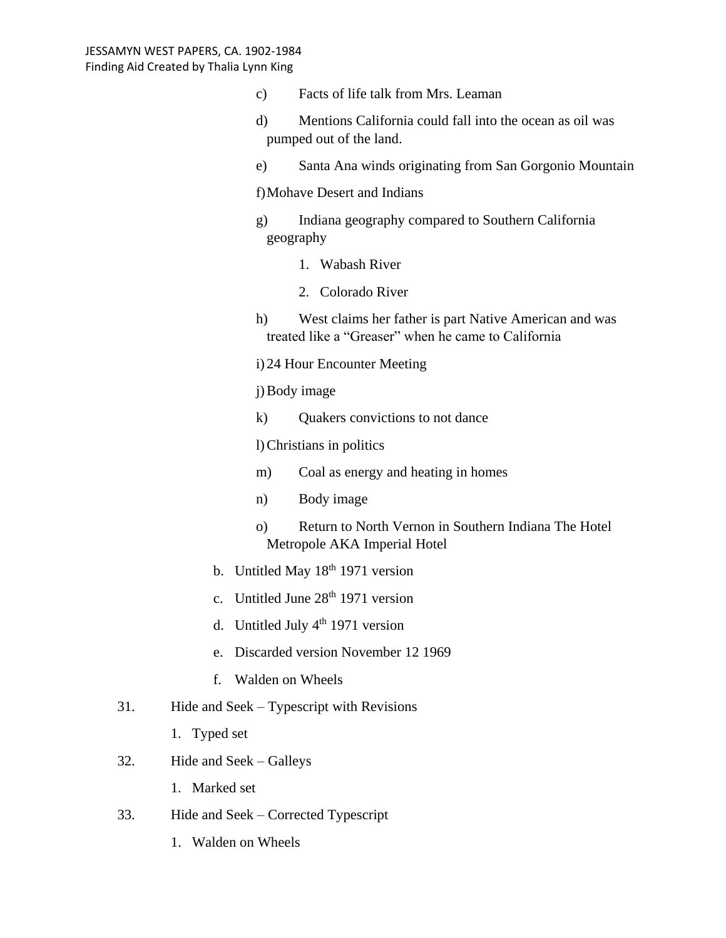- c) Facts of life talk from Mrs. Leaman
- d) Mentions California could fall into the ocean as oil was pumped out of the land.
- e) Santa Ana winds originating from San Gorgonio Mountain

f)Mohave Desert and Indians

- g) Indiana geography compared to Southern California geography
	- 1. Wabash River
	- 2. Colorado River
- h) West claims her father is part Native American and was treated like a "Greaser" when he came to California
- i) 24 Hour Encounter Meeting

j)Body image

k) Quakers convictions to not dance

l)Christians in politics

- m) Coal as energy and heating in homes
- n) Body image
- o) Return to North Vernon in Southern Indiana The Hotel Metropole AKA Imperial Hotel
- b. Untitled May  $18<sup>th</sup> 1971$  version
- c. Untitled June 28<sup>th</sup> 1971 version
- d. Untitled July  $4<sup>th</sup>$  1971 version
- e. Discarded version November 12 1969
- f. Walden on Wheels
- 31. Hide and Seek Typescript with Revisions
	- 1. Typed set
- 32. Hide and Seek Galleys
	- 1. Marked set
- 33. Hide and Seek Corrected Typescript
	- 1. Walden on Wheels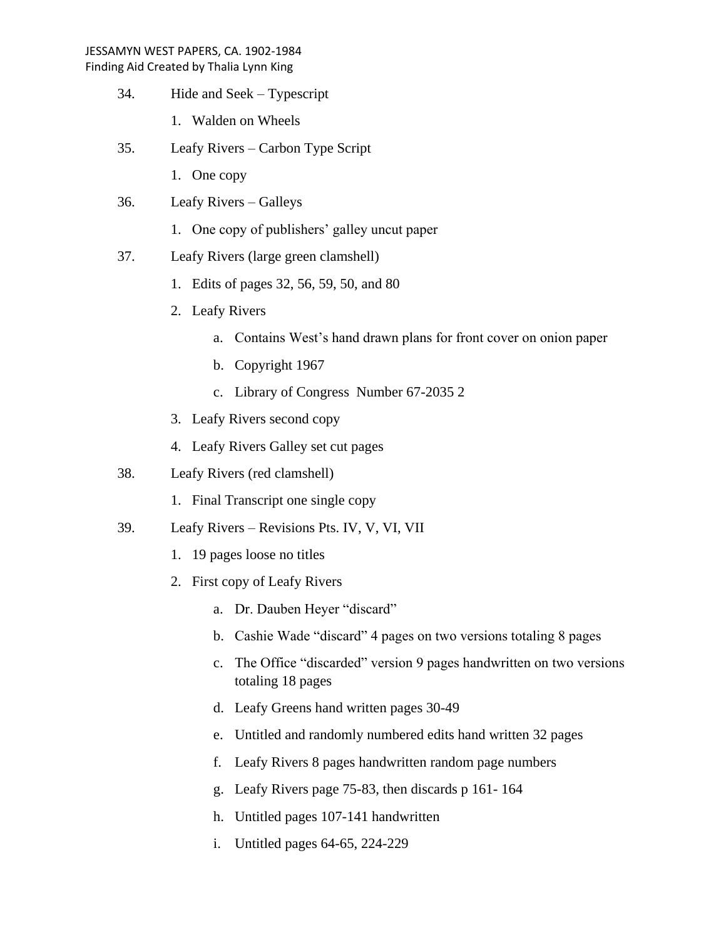- 34. Hide and Seek Typescript
	- 1. Walden on Wheels
- 35. Leafy Rivers Carbon Type Script
	- 1. One copy
- 36. Leafy Rivers Galleys
	- 1. One copy of publishers' galley uncut paper
- 37. Leafy Rivers (large green clamshell)
	- 1. Edits of pages 32, 56, 59, 50, and 80
	- 2. Leafy Rivers
		- a. Contains West's hand drawn plans for front cover on onion paper
		- b. Copyright 1967
		- c. Library of Congress Number 67-2035 2
	- 3. Leafy Rivers second copy
	- 4. Leafy Rivers Galley set cut pages
- 38. Leafy Rivers (red clamshell)
	- 1. Final Transcript one single copy
- 39. Leafy Rivers Revisions Pts. IV, V, VI, VII
	- 1. 19 pages loose no titles
	- 2. First copy of Leafy Rivers
		- a. Dr. Dauben Heyer "discard"
		- b. Cashie Wade "discard" 4 pages on two versions totaling 8 pages
		- c. The Office "discarded" version 9 pages handwritten on two versions totaling 18 pages
		- d. Leafy Greens hand written pages 30-49
		- e. Untitled and randomly numbered edits hand written 32 pages
		- f. Leafy Rivers 8 pages handwritten random page numbers
		- g. Leafy Rivers page 75-83, then discards p 161- 164
		- h. Untitled pages 107-141 handwritten
		- i. Untitled pages 64-65, 224-229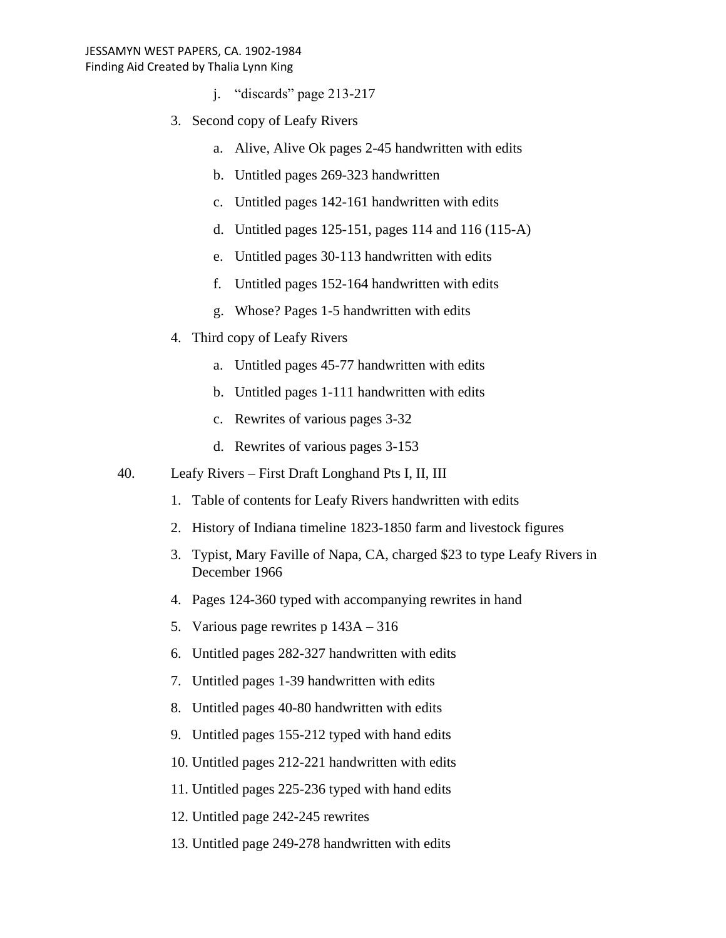- j. "discards" page 213-217
- 3. Second copy of Leafy Rivers
	- a. Alive, Alive Ok pages 2-45 handwritten with edits
	- b. Untitled pages 269-323 handwritten
	- c. Untitled pages 142-161 handwritten with edits
	- d. Untitled pages 125-151, pages 114 and 116 (115-A)
	- e. Untitled pages 30-113 handwritten with edits
	- f. Untitled pages 152-164 handwritten with edits
	- g. Whose? Pages 1-5 handwritten with edits
- 4. Third copy of Leafy Rivers
	- a. Untitled pages 45-77 handwritten with edits
	- b. Untitled pages 1-111 handwritten with edits
	- c. Rewrites of various pages 3-32
	- d. Rewrites of various pages 3-153
- 40. Leafy Rivers First Draft Longhand Pts I, II, III
	- 1. Table of contents for Leafy Rivers handwritten with edits
	- 2. History of Indiana timeline 1823-1850 farm and livestock figures
	- 3. Typist, Mary Faville of Napa, CA, charged \$23 to type Leafy Rivers in December 1966
	- 4. Pages 124-360 typed with accompanying rewrites in hand
	- 5. Various page rewrites p 143A 316
	- 6. Untitled pages 282-327 handwritten with edits
	- 7. Untitled pages 1-39 handwritten with edits
	- 8. Untitled pages 40-80 handwritten with edits
	- 9. Untitled pages 155-212 typed with hand edits
	- 10. Untitled pages 212-221 handwritten with edits
	- 11. Untitled pages 225-236 typed with hand edits
	- 12. Untitled page 242-245 rewrites
	- 13. Untitled page 249-278 handwritten with edits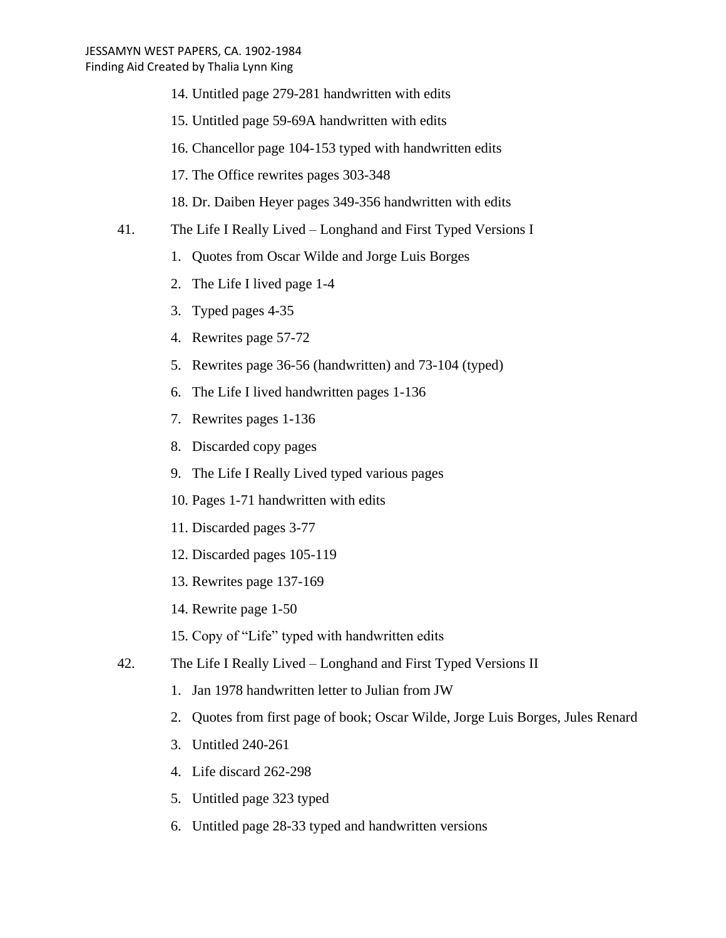- 14. Untitled page 279-281 handwritten with edits
- 15. Untitled page 59-69A handwritten with edits
- 16. Chancellor page 104-153 typed with handwritten edits
- 17. The Office rewrites pages 303-348
- 18. Dr. Daiben Heyer pages 349-356 handwritten with edits
- 41. The Life I Really Lived Longhand and First Typed Versions I
	- 1. Quotes from Oscar Wilde and Jorge Luis Borges
	- 2. The Life I lived page 1-4
	- 3. Typed pages 4-35
	- 4. Rewrites page 57-72
	- 5. Rewrites page 36-56 (handwritten) and 73-104 (typed)
	- 6. The Life I lived handwritten pages 1-136
	- 7. Rewrites pages 1-136
	- 8. Discarded copy pages
	- 9. The Life I Really Lived typed various pages
	- 10. Pages 1-71 handwritten with edits
	- 11. Discarded pages 3-77
	- 12. Discarded pages 105-119
	- 13. Rewrites page 137-169
	- 14. Rewrite page 1-50
	- 15. Copy of "Life" typed with handwritten edits
- 42. The Life I Really Lived Longhand and First Typed Versions II
	- 1. Jan 1978 handwritten letter to Julian from JW
	- 2. Quotes from first page of book; Oscar Wilde, Jorge Luis Borges, Jules Renard
	- 3. Untitled 240-261
	- 4. Life discard 262-298
	- 5. Untitled page 323 typed
	- 6. Untitled page 28-33 typed and handwritten versions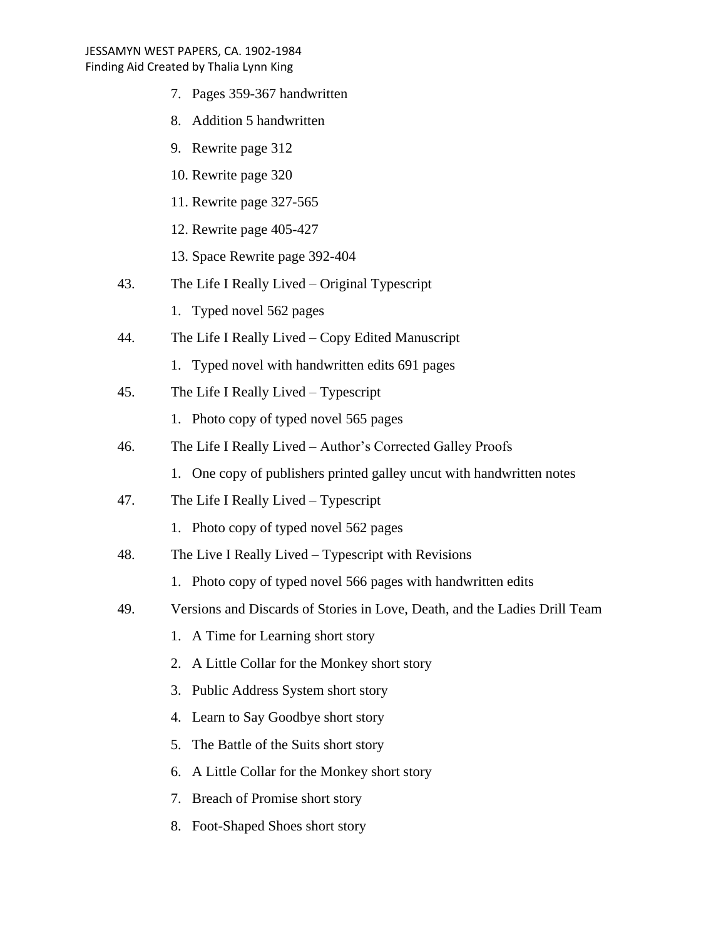- 7. Pages 359-367 handwritten
- 8. Addition 5 handwritten
- 9. Rewrite page 312
- 10. Rewrite page 320
- 11. Rewrite page 327-565
- 12. Rewrite page 405-427
- 13. Space Rewrite page 392-404
- 43. The Life I Really Lived Original Typescript
	- 1. Typed novel 562 pages
- 44. The Life I Really Lived Copy Edited Manuscript
	- 1. Typed novel with handwritten edits 691 pages
- 45. The Life I Really Lived Typescript
	- 1. Photo copy of typed novel 565 pages
- 46. The Life I Really Lived Author's Corrected Galley Proofs
	- 1. One copy of publishers printed galley uncut with handwritten notes
- 47. The Life I Really Lived Typescript
	- 1. Photo copy of typed novel 562 pages
- 48. The Live I Really Lived Typescript with Revisions
	- 1. Photo copy of typed novel 566 pages with handwritten edits
- 49. Versions and Discards of Stories in Love, Death, and the Ladies Drill Team
	- 1. A Time for Learning short story
	- 2. A Little Collar for the Monkey short story
	- 3. Public Address System short story
	- 4. Learn to Say Goodbye short story
	- 5. The Battle of the Suits short story
	- 6. A Little Collar for the Monkey short story
	- 7. Breach of Promise short story
	- 8. Foot-Shaped Shoes short story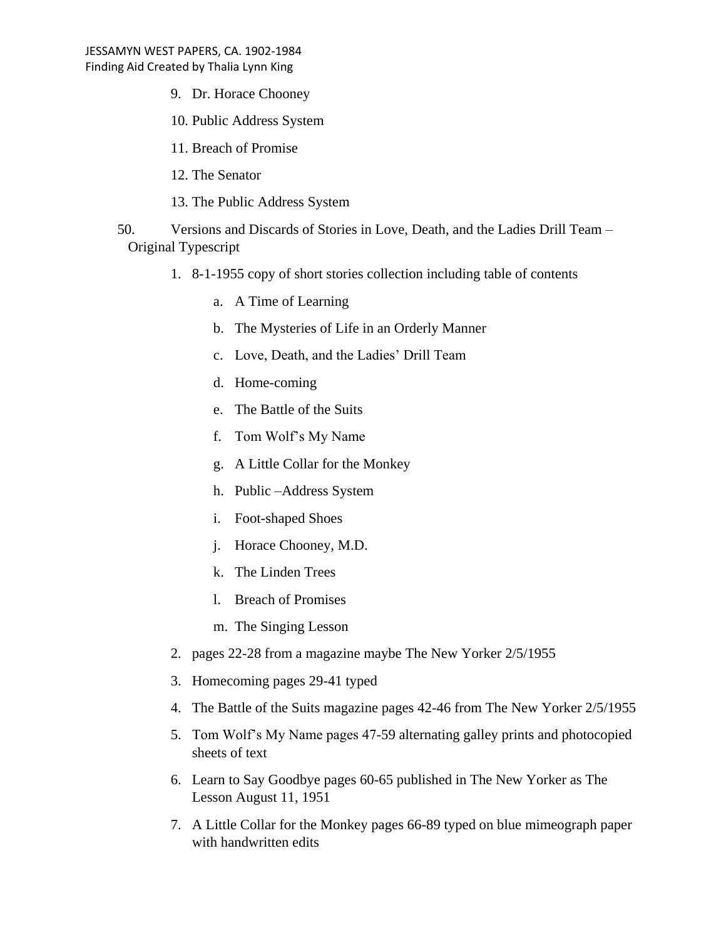- 9. Dr. Horace Chooney
- 10. Public Address System
- 11. Breach of Promise
- 12. The Senator
- 13. The Public Address System
- 50. Versions and Discards of Stories in Love, Death, and the Ladies Drill Team Original Typescript
	- 1. 8-1-1955 copy of short stories collection including table of contents
		- a. A Time of Learning
		- b. The Mysteries of Life in an Orderly Manner
		- c. Love, Death, and the Ladies' Drill Team
		- d. Home-coming
		- e. The Battle of the Suits
		- f. Tom Wolf's My Name
		- g. A Little Collar for the Monkey
		- h. Public –Address System
		- i. Foot-shaped Shoes
		- j. Horace Chooney, M.D.
		- k. The Linden Trees
		- l. Breach of Promises
		- m. The Singing Lesson
	- 2. pages 22-28 from a magazine maybe The New Yorker 2/5/1955
	- 3. Homecoming pages 29-41 typed
	- 4. The Battle of the Suits magazine pages 42-46 from The New Yorker 2/5/1955
	- 5. Tom Wolf's My Name pages 47-59 alternating galley prints and photocopied sheets of text
	- 6. Learn to Say Goodbye pages 60-65 published in The New Yorker as The Lesson August 11, 1951
	- 7. A Little Collar for the Monkey pages 66-89 typed on blue mimeograph paper with handwritten edits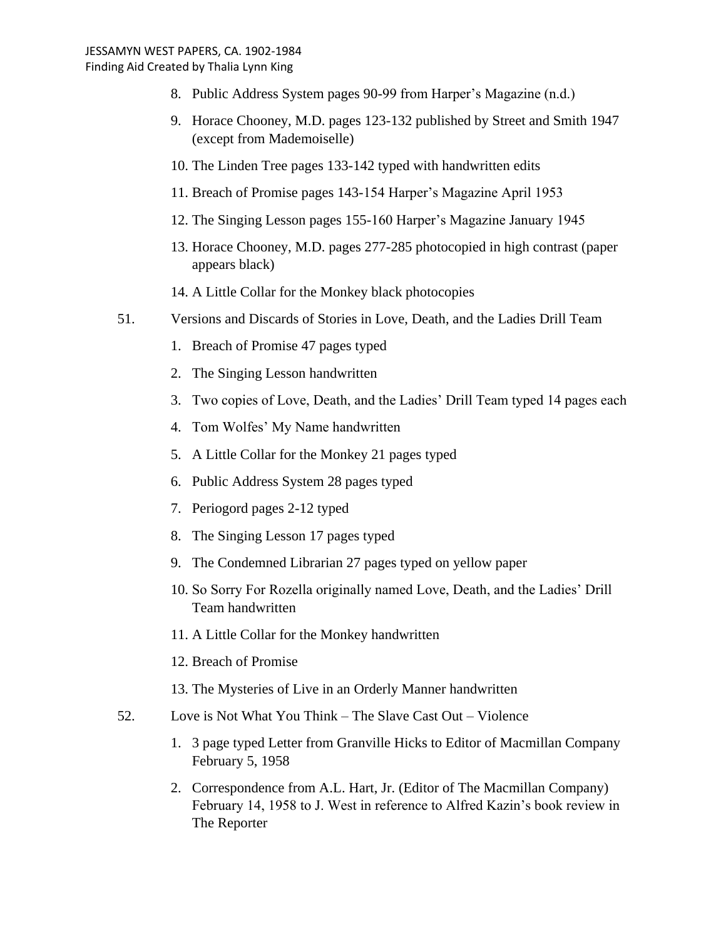- 8. Public Address System pages 90-99 from Harper's Magazine (n.d.)
- 9. Horace Chooney, M.D. pages 123-132 published by Street and Smith 1947 (except from Mademoiselle)
- 10. The Linden Tree pages 133-142 typed with handwritten edits
- 11. Breach of Promise pages 143-154 Harper's Magazine April 1953
- 12. The Singing Lesson pages 155-160 Harper's Magazine January 1945
- 13. Horace Chooney, M.D. pages 277-285 photocopied in high contrast (paper appears black)
- 14. A Little Collar for the Monkey black photocopies
- 51. Versions and Discards of Stories in Love, Death, and the Ladies Drill Team
	- 1. Breach of Promise 47 pages typed
	- 2. The Singing Lesson handwritten
	- 3. Two copies of Love, Death, and the Ladies' Drill Team typed 14 pages each
	- 4. Tom Wolfes' My Name handwritten
	- 5. A Little Collar for the Monkey 21 pages typed
	- 6. Public Address System 28 pages typed
	- 7. Periogord pages 2-12 typed
	- 8. The Singing Lesson 17 pages typed
	- 9. The Condemned Librarian 27 pages typed on yellow paper
	- 10. So Sorry For Rozella originally named Love, Death, and the Ladies' Drill Team handwritten
	- 11. A Little Collar for the Monkey handwritten
	- 12. Breach of Promise
	- 13. The Mysteries of Live in an Orderly Manner handwritten
- 52. Love is Not What You Think The Slave Cast Out Violence
	- 1. 3 page typed Letter from Granville Hicks to Editor of Macmillan Company February 5, 1958
	- 2. Correspondence from A.L. Hart, Jr. (Editor of The Macmillan Company) February 14, 1958 to J. West in reference to Alfred Kazin's book review in The Reporter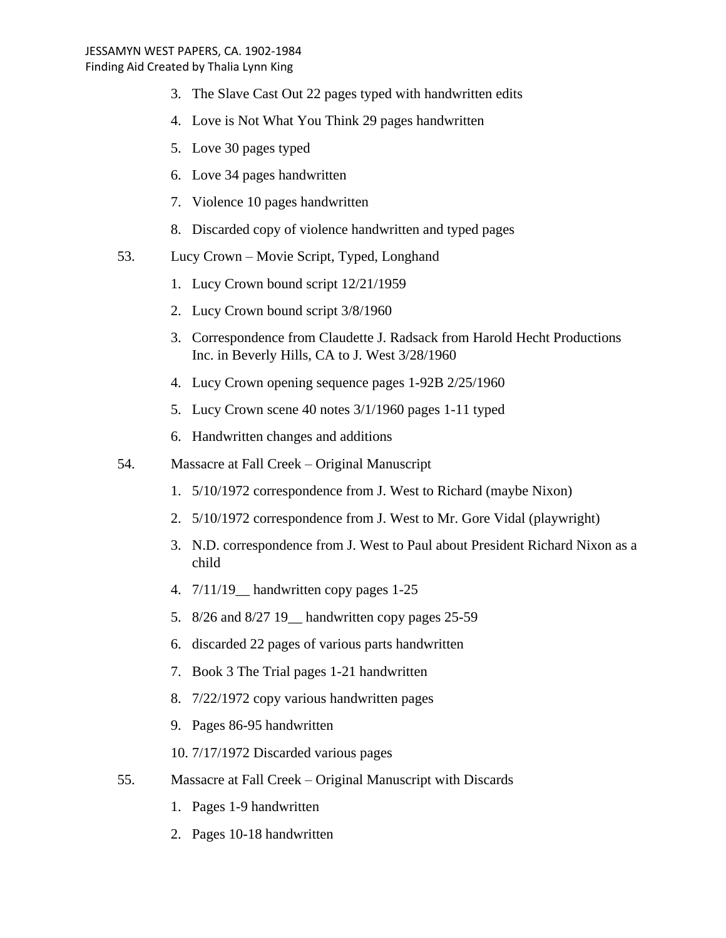- 3. The Slave Cast Out 22 pages typed with handwritten edits
- 4. Love is Not What You Think 29 pages handwritten
- 5. Love 30 pages typed
- 6. Love 34 pages handwritten
- 7. Violence 10 pages handwritten
- 8. Discarded copy of violence handwritten and typed pages
- 53. Lucy Crown Movie Script, Typed, Longhand
	- 1. Lucy Crown bound script 12/21/1959
	- 2. Lucy Crown bound script 3/8/1960
	- 3. Correspondence from Claudette J. Radsack from Harold Hecht Productions Inc. in Beverly Hills, CA to J. West 3/28/1960
	- 4. Lucy Crown opening sequence pages 1-92B 2/25/1960
	- 5. Lucy Crown scene 40 notes 3/1/1960 pages 1-11 typed
	- 6. Handwritten changes and additions
- 54. Massacre at Fall Creek Original Manuscript
	- 1. 5/10/1972 correspondence from J. West to Richard (maybe Nixon)
	- 2. 5/10/1972 correspondence from J. West to Mr. Gore Vidal (playwright)
	- 3. N.D. correspondence from J. West to Paul about President Richard Nixon as a child
	- 4. 7/11/19\_\_ handwritten copy pages 1-25
	- 5. 8/26 and 8/27 19\_\_ handwritten copy pages 25-59
	- 6. discarded 22 pages of various parts handwritten
	- 7. Book 3 The Trial pages 1-21 handwritten
	- 8. 7/22/1972 copy various handwritten pages
	- 9. Pages 86-95 handwritten
	- 10. 7/17/1972 Discarded various pages
- 55. Massacre at Fall Creek Original Manuscript with Discards
	- 1. Pages 1-9 handwritten
	- 2. Pages 10-18 handwritten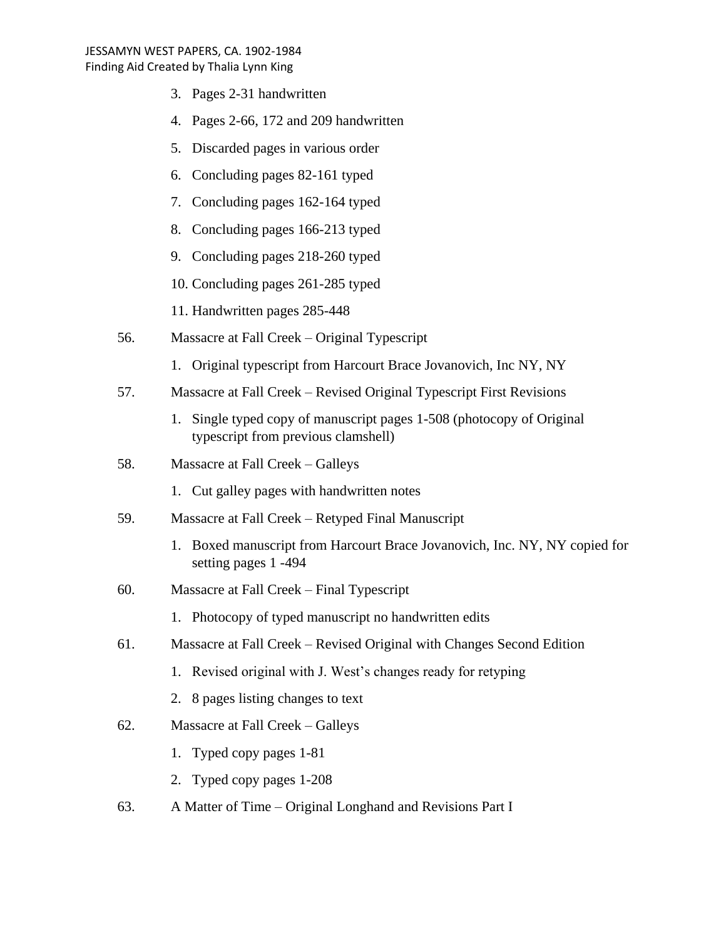- 3. Pages 2-31 handwritten
- 4. Pages 2-66, 172 and 209 handwritten
- 5. Discarded pages in various order
- 6. Concluding pages 82-161 typed
- 7. Concluding pages 162-164 typed
- 8. Concluding pages 166-213 typed
- 9. Concluding pages 218-260 typed
- 10. Concluding pages 261-285 typed
- 11. Handwritten pages 285-448
- 56. Massacre at Fall Creek Original Typescript
	- 1. Original typescript from Harcourt Brace Jovanovich, Inc NY, NY
- 57. Massacre at Fall Creek Revised Original Typescript First Revisions
	- 1. Single typed copy of manuscript pages 1-508 (photocopy of Original typescript from previous clamshell)
- 58. Massacre at Fall Creek Galleys
	- 1. Cut galley pages with handwritten notes
- 59. Massacre at Fall Creek Retyped Final Manuscript
	- 1. Boxed manuscript from Harcourt Brace Jovanovich, Inc. NY, NY copied for setting pages 1 -494
- 60. Massacre at Fall Creek Final Typescript
	- 1. Photocopy of typed manuscript no handwritten edits
- 61. Massacre at Fall Creek Revised Original with Changes Second Edition
	- 1. Revised original with J. West's changes ready for retyping
	- 2. 8 pages listing changes to text
- 62. Massacre at Fall Creek Galleys
	- 1. Typed copy pages 1-81
	- 2. Typed copy pages 1-208
- 63. A Matter of Time Original Longhand and Revisions Part I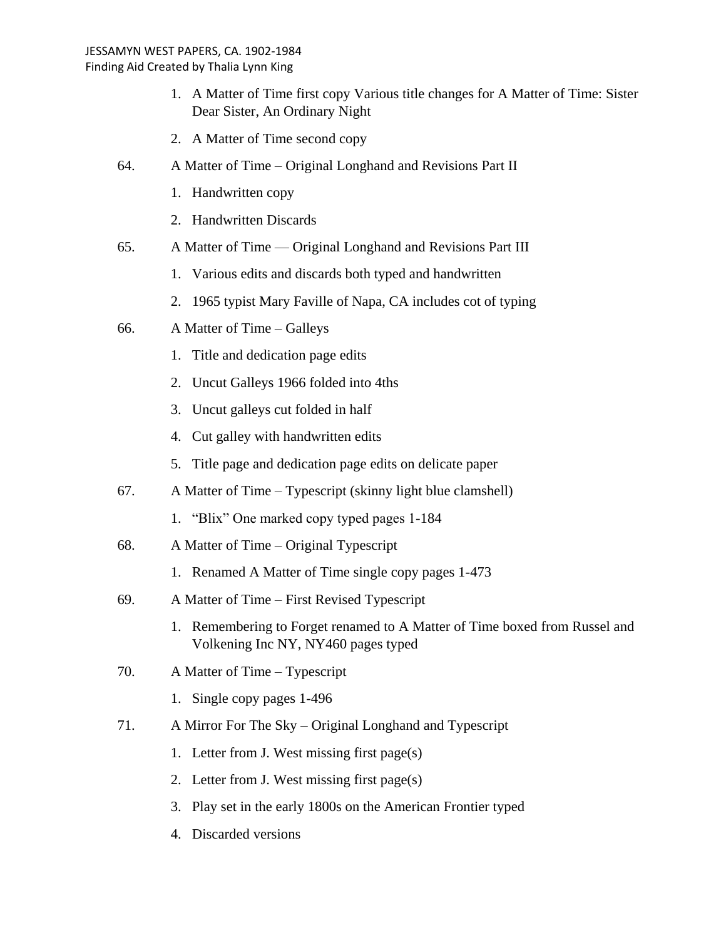- 1. A Matter of Time first copy Various title changes for A Matter of Time: Sister Dear Sister, An Ordinary Night
- 2. A Matter of Time second copy
- 64. A Matter of Time Original Longhand and Revisions Part II
	- 1. Handwritten copy
	- 2. Handwritten Discards
- 65. A Matter of Time –– Original Longhand and Revisions Part III
	- 1. Various edits and discards both typed and handwritten
	- 2. 1965 typist Mary Faville of Napa, CA includes cot of typing
- 66. A Matter of Time Galleys
	- 1. Title and dedication page edits
	- 2. Uncut Galleys 1966 folded into 4ths
	- 3. Uncut galleys cut folded in half
	- 4. Cut galley with handwritten edits
	- 5. Title page and dedication page edits on delicate paper
- 67. A Matter of Time Typescript (skinny light blue clamshell)
	- 1. "Blix" One marked copy typed pages 1-184
- 68. A Matter of Time Original Typescript
	- 1. Renamed A Matter of Time single copy pages 1-473
- 69. A Matter of Time First Revised Typescript
	- 1. Remembering to Forget renamed to A Matter of Time boxed from Russel and Volkening Inc NY, NY460 pages typed
- 70. A Matter of Time Typescript
	- 1. Single copy pages 1-496
- 71. A Mirror For The Sky Original Longhand and Typescript
	- 1. Letter from J. West missing first page(s)
	- 2. Letter from J. West missing first page(s)
	- 3. Play set in the early 1800s on the American Frontier typed
	- 4. Discarded versions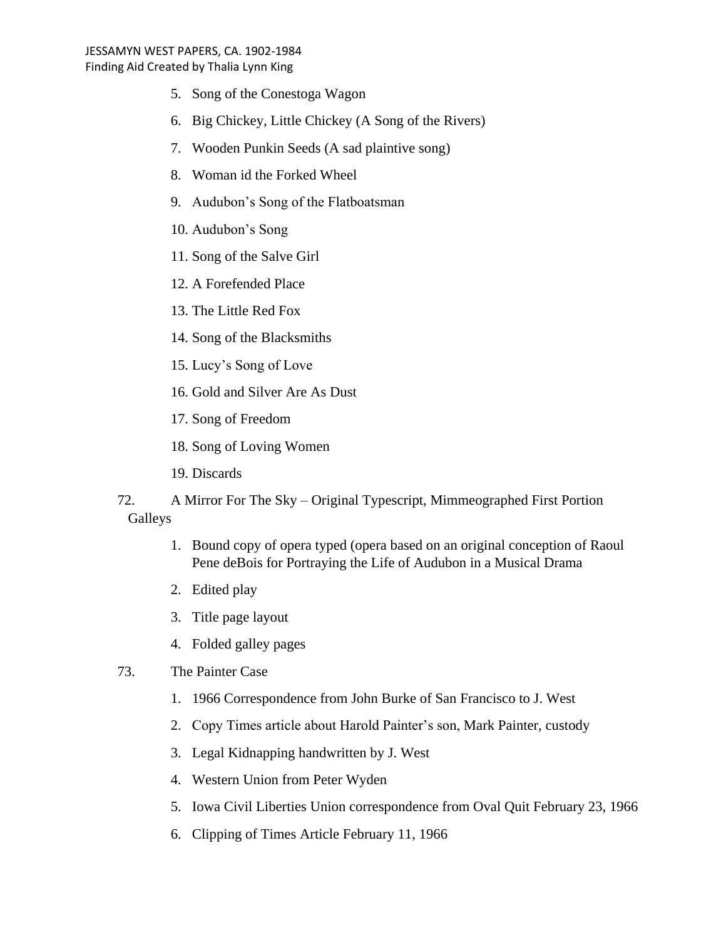- 5. Song of the Conestoga Wagon
- 6. Big Chickey, Little Chickey (A Song of the Rivers)
- 7. Wooden Punkin Seeds (A sad plaintive song)
- 8. Woman id the Forked Wheel
- 9. Audubon's Song of the Flatboatsman
- 10. Audubon's Song
- 11. Song of the Salve Girl
- 12. A Forefended Place
- 13. The Little Red Fox
- 14. Song of the Blacksmiths
- 15. Lucy's Song of Love
- 16. Gold and Silver Are As Dust
- 17. Song of Freedom
- 18. Song of Loving Women
- 19. Discards
- 72. A Mirror For The Sky Original Typescript, Mimmeographed First Portion Galleys
	- 1. Bound copy of opera typed (opera based on an original conception of Raoul Pene deBois for Portraying the Life of Audubon in a Musical Drama
	- 2. Edited play
	- 3. Title page layout
	- 4. Folded galley pages

# 73. The Painter Case

- 1. 1966 Correspondence from John Burke of San Francisco to J. West
- 2. Copy Times article about Harold Painter's son, Mark Painter, custody
- 3. Legal Kidnapping handwritten by J. West
- 4. Western Union from Peter Wyden
- 5. Iowa Civil Liberties Union correspondence from Oval Quit February 23, 1966
- 6. Clipping of Times Article February 11, 1966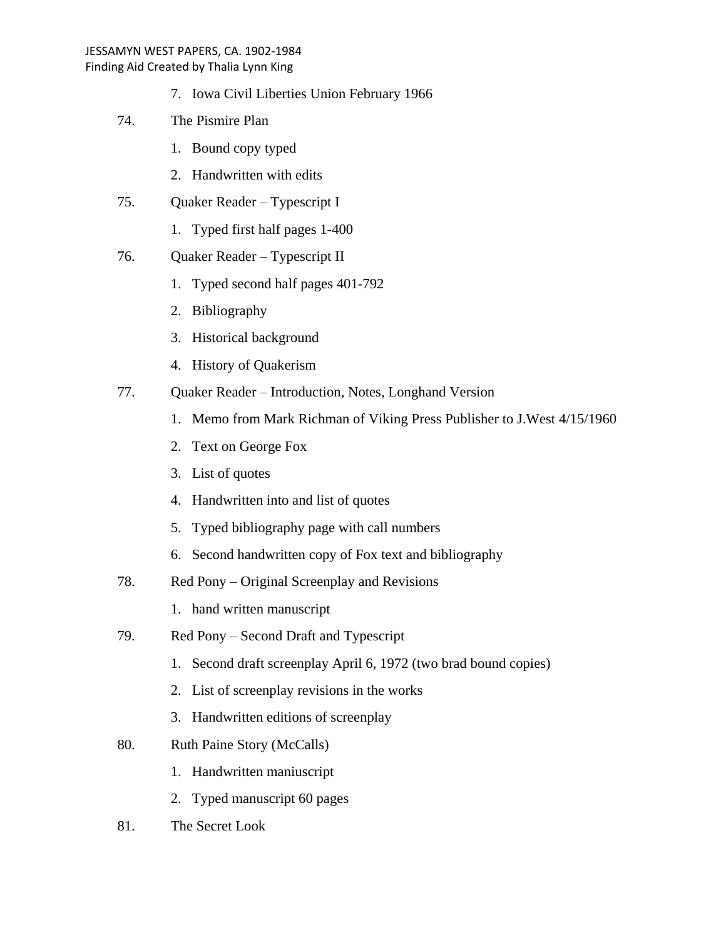- 7. Iowa Civil Liberties Union February 1966
- 74. The Pismire Plan
	- 1. Bound copy typed
	- 2. Handwritten with edits
- 75. Quaker Reader Typescript I
	- 1. Typed first half pages 1-400
- 76. Quaker Reader Typescript II
	- 1. Typed second half pages 401-792
	- 2. Bibliography
	- 3. Historical background
	- 4. History of Quakerism
- 77. Quaker Reader Introduction, Notes, Longhand Version
	- 1. Memo from Mark Richman of Viking Press Publisher to J.West 4/15/1960
	- 2. Text on George Fox
	- 3. List of quotes
	- 4. Handwritten into and list of quotes
	- 5. Typed bibliography page with call numbers
	- 6. Second handwritten copy of Fox text and bibliography
- 78. Red Pony Original Screenplay and Revisions
	- 1. hand written manuscript
- 79. Red Pony Second Draft and Typescript
	- 1. Second draft screenplay April 6, 1972 (two brad bound copies)
	- 2. List of screenplay revisions in the works
	- 3. Handwritten editions of screenplay
- 80. Ruth Paine Story (McCalls)
	- 1. Handwritten maniuscript
	- 2. Typed manuscript 60 pages
- 81. The Secret Look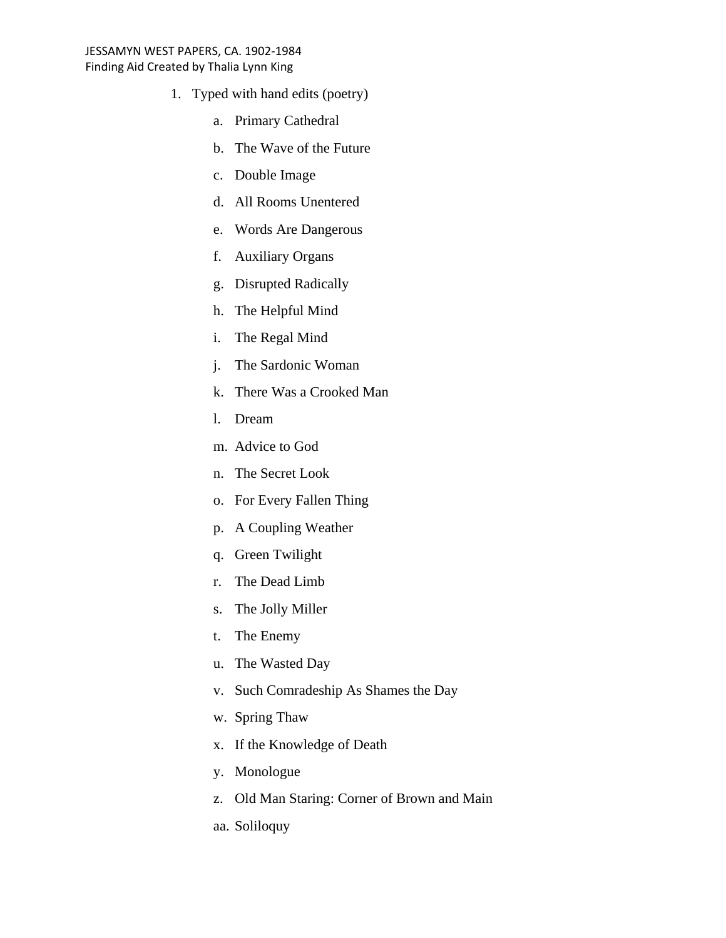- 1. Typed with hand edits (poetry)
	- a. Primary Cathedral
	- b. The Wave of the Future
	- c. Double Image
	- d. All Rooms Unentered
	- e. Words Are Dangerous
	- f. Auxiliary Organs
	- g. Disrupted Radically
	- h. The Helpful Mind
	- i. The Regal Mind
	- j. The Sardonic Woman
	- k. There Was a Crooked Man
	- l. Dream
	- m. Advice to God
	- n. The Secret Look
	- o. For Every Fallen Thing
	- p. A Coupling Weather
	- q. Green Twilight
	- r. The Dead Limb
	- s. The Jolly Miller
	- t. The Enemy
	- u. The Wasted Day
	- v. Such Comradeship As Shames the Day
	- w. Spring Thaw
	- x. If the Knowledge of Death
	- y. Monologue
	- z. Old Man Staring: Corner of Brown and Main
	- aa. Soliloquy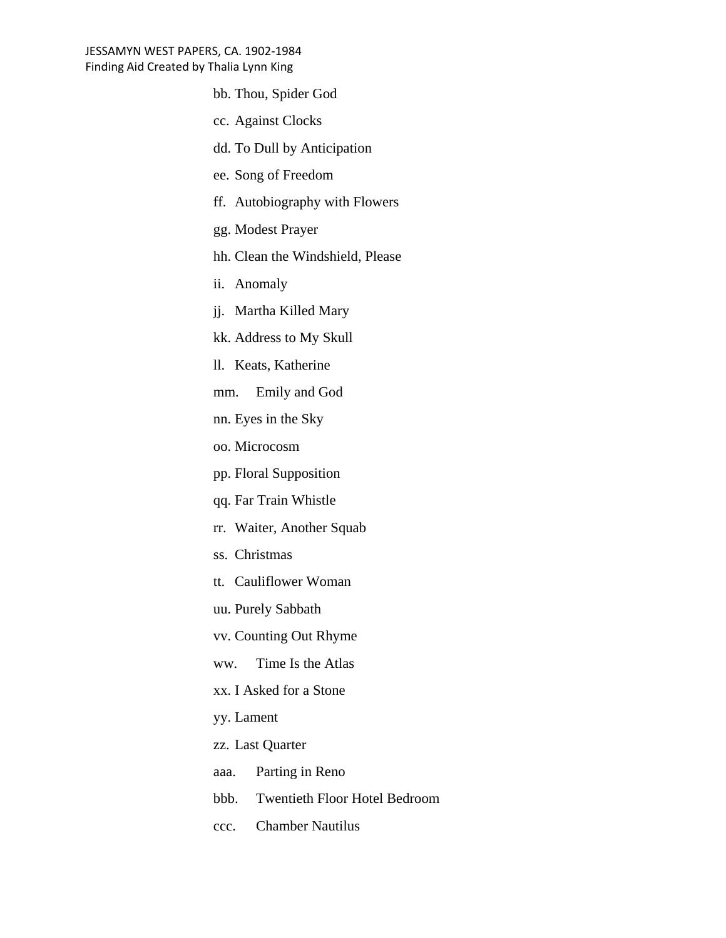- bb. Thou, Spider God
- cc. Against Clocks
- dd. To Dull by Anticipation
- ee. Song of Freedom
- ff. Autobiography with Flowers
- gg. Modest Prayer
- hh. Clean the Windshield, Please
- ii. Anomaly
- jj. Martha Killed Mary
- kk. Address to My Skull
- ll. Keats, Katherine
- mm. Emily and God
- nn. Eyes in the Sky
- oo. Microcosm
- pp. Floral Supposition
- qq. Far Train Whistle
- rr. Waiter, Another Squab
- ss. Christmas
- tt. Cauliflower Woman
- uu. Purely Sabbath
- vv. Counting Out Rhyme
- ww. Time Is the Atlas
- xx. I Asked for a Stone
- yy. Lament
- zz. Last Quarter
- aaa. Parting in Reno
- bbb. Twentieth Floor Hotel Bedroom
- ccc. Chamber Nautilus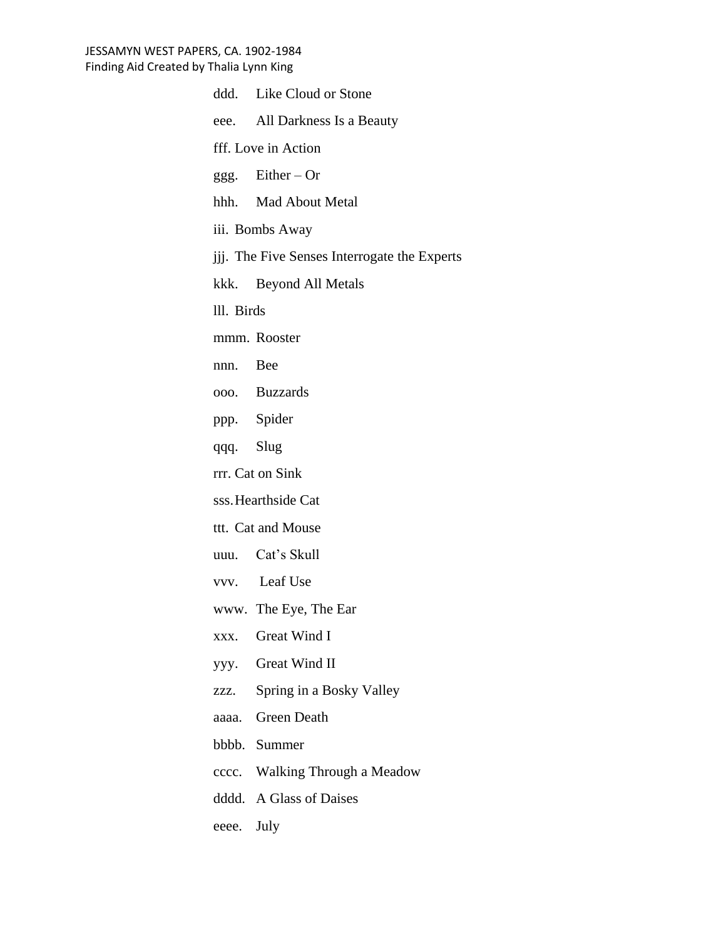|                                              | ddd. Like Cloud or Stone       |  |
|----------------------------------------------|--------------------------------|--|
|                                              | eee. All Darkness Is a Beauty  |  |
| fff. Love in Action                          |                                |  |
|                                              | ggg. Either $-Or$              |  |
|                                              | hhh. Mad About Metal           |  |
| iii. Bombs Away                              |                                |  |
| jij. The Five Senses Interrogate the Experts |                                |  |
|                                              | kkk. Beyond All Metals         |  |
| lll. Birds                                   |                                |  |
|                                              | mmm. Rooster                   |  |
| nnn. Bee                                     |                                |  |
|                                              | 000. Buzzards                  |  |
|                                              | ppp. Spider                    |  |
| qqq. Slug                                    |                                |  |
| rrr. Cat on Sink                             |                                |  |
| sss. Hearthside Cat                          |                                |  |
| ttt. Cat and Mouse                           |                                |  |
|                                              | uuu. Cat's Skull               |  |
|                                              | vvv. Leaf Use                  |  |
|                                              | www. The Eye, The Ear          |  |
|                                              | xxx. Great Wind I              |  |
|                                              | yyy. Great Wind II             |  |
| ZZZ.                                         | Spring in a Bosky Valley       |  |
|                                              | aaaa. Green Death              |  |
|                                              | bbbb. Summer                   |  |
|                                              | cccc. Walking Through a Meadow |  |
|                                              | dddd. A Glass of Daises        |  |
|                                              |                                |  |

eeee. July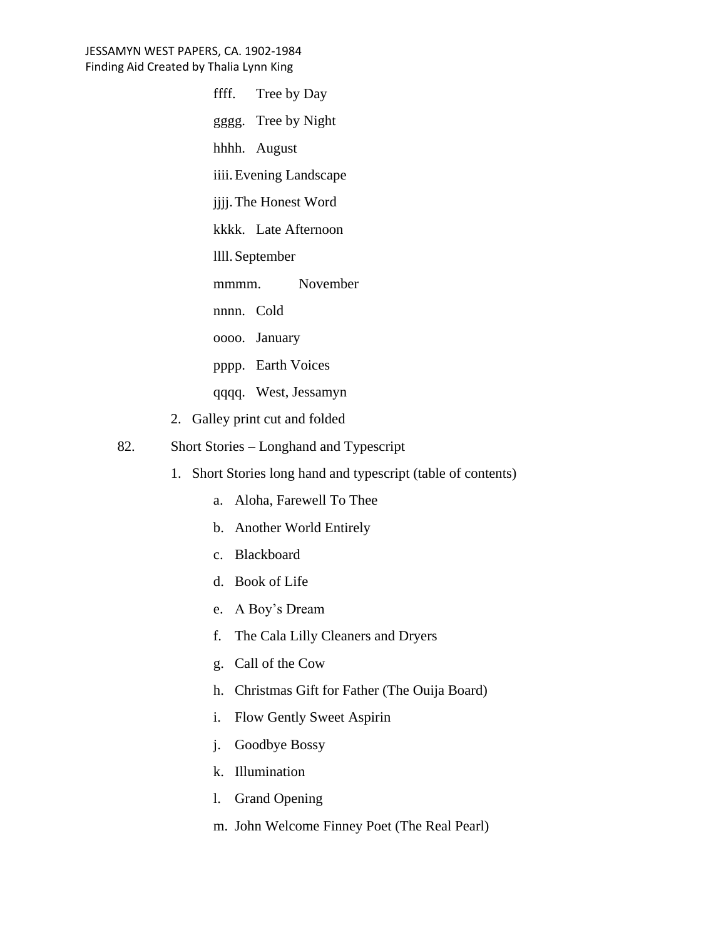ffff. Tree by Day

gggg. Tree by Night

hhhh. August

iiii.Evening Landscape

jjjj.The Honest Word

kkkk. Late Afternoon

llll.September

mmmm. November

nnnn. Cold

oooo. January

pppp. Earth Voices

qqqq. West, Jessamyn

- 2. Galley print cut and folded
- 82. Short Stories Longhand and Typescript
	- 1. Short Stories long hand and typescript (table of contents)
		- a. Aloha, Farewell To Thee
		- b. Another World Entirely
		- c. Blackboard
		- d. Book of Life
		- e. A Boy's Dream
		- f. The Cala Lilly Cleaners and Dryers
		- g. Call of the Cow
		- h. Christmas Gift for Father (The Ouija Board)
		- i. Flow Gently Sweet Aspirin
		- j. Goodbye Bossy
		- k. Illumination
		- l. Grand Opening
		- m. John Welcome Finney Poet (The Real Pearl)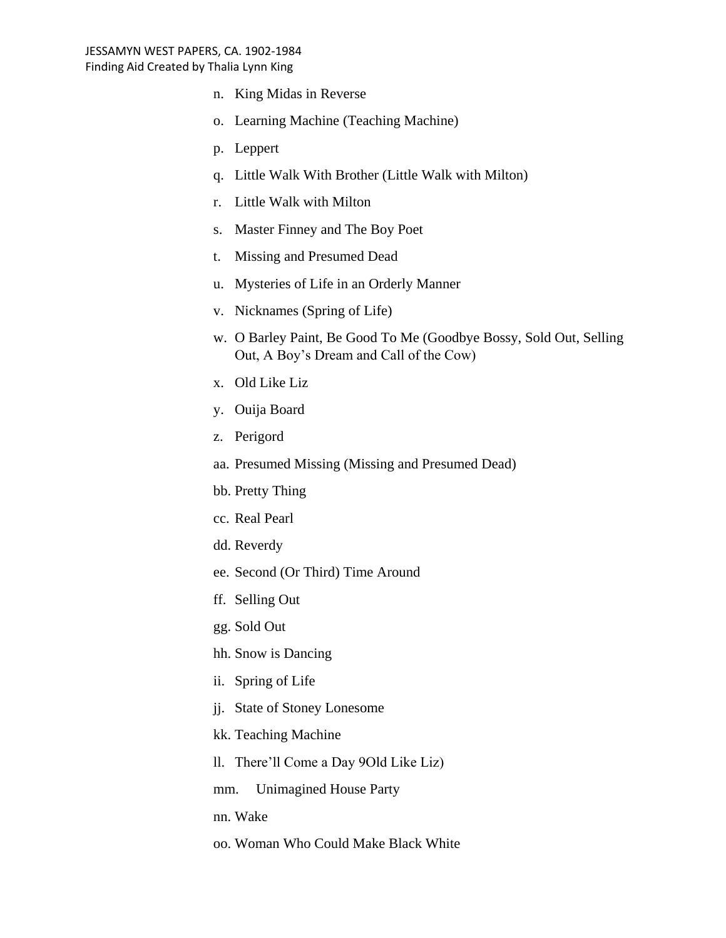- n. King Midas in Reverse
- o. Learning Machine (Teaching Machine)
- p. Leppert
- q. Little Walk With Brother (Little Walk with Milton)
- r. Little Walk with Milton
- s. Master Finney and The Boy Poet
- t. Missing and Presumed Dead
- u. Mysteries of Life in an Orderly Manner
- v. Nicknames (Spring of Life)
- w. O Barley Paint, Be Good To Me (Goodbye Bossy, Sold Out, Selling Out, A Boy's Dream and Call of the Cow)
- x. Old Like Liz
- y. Ouija Board
- z. Perigord
- aa. Presumed Missing (Missing and Presumed Dead)
- bb. Pretty Thing
- cc. Real Pearl
- dd. Reverdy
- ee. Second (Or Third) Time Around
- ff. Selling Out
- gg. Sold Out
- hh. Snow is Dancing
- ii. Spring of Life
- jj. State of Stoney Lonesome
- kk. Teaching Machine
- ll. There'll Come a Day 9Old Like Liz)
- mm. Unimagined House Party
- nn. Wake
- oo. Woman Who Could Make Black White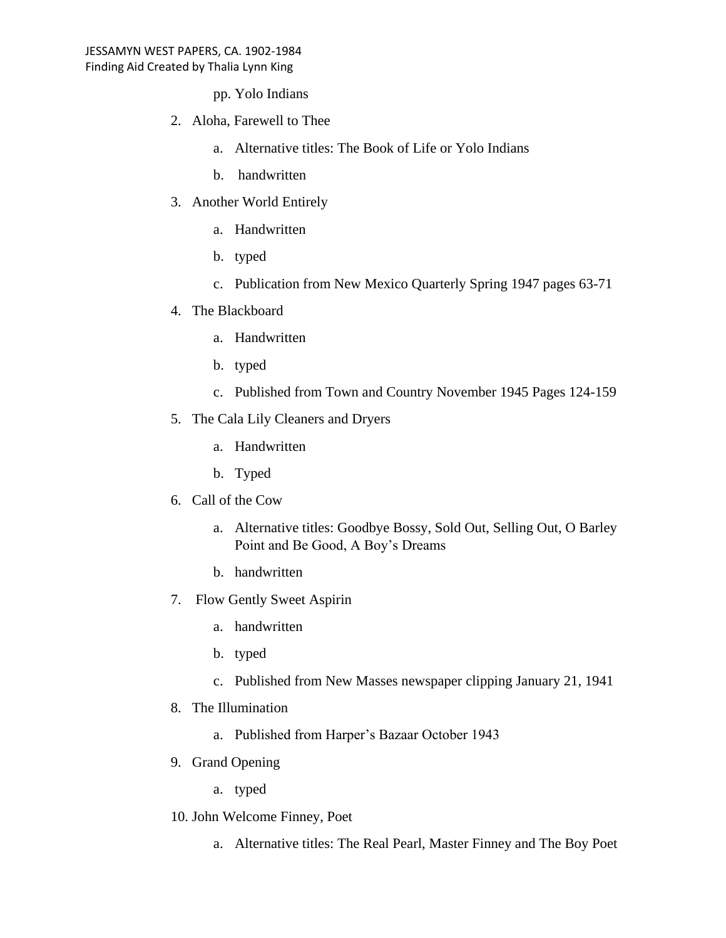pp. Yolo Indians

- 2. Aloha, Farewell to Thee
	- a. Alternative titles: The Book of Life or Yolo Indians
	- b. handwritten
- 3. Another World Entirely
	- a. Handwritten
	- b. typed
	- c. Publication from New Mexico Quarterly Spring 1947 pages 63-71
- 4. The Blackboard
	- a. Handwritten
	- b. typed
	- c. Published from Town and Country November 1945 Pages 124-159
- 5. The Cala Lily Cleaners and Dryers
	- a. Handwritten
	- b. Typed
- 6. Call of the Cow
	- a. Alternative titles: Goodbye Bossy, Sold Out, Selling Out, O Barley Point and Be Good, A Boy's Dreams
	- b. handwritten
- 7. Flow Gently Sweet Aspirin
	- a. handwritten
	- b. typed
	- c. Published from New Masses newspaper clipping January 21, 1941
- 8. The Illumination
	- a. Published from Harper's Bazaar October 1943
- 9. Grand Opening
	- a. typed
- 10. John Welcome Finney, Poet
	- a. Alternative titles: The Real Pearl, Master Finney and The Boy Poet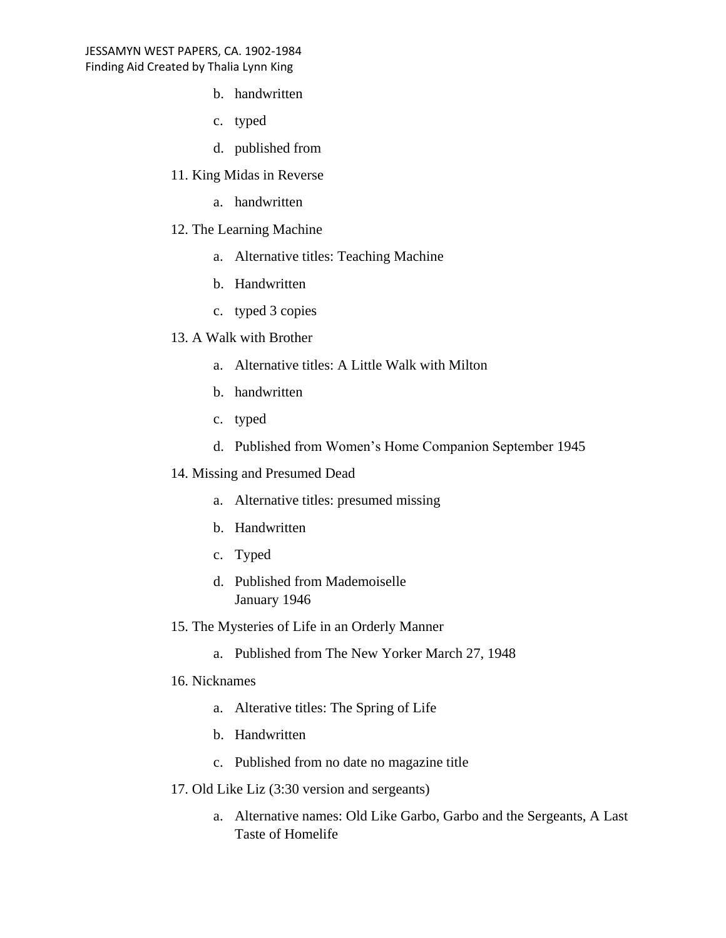- b. handwritten
- c. typed
- d. published from
- 11. King Midas in Reverse
	- a. handwritten
- 12. The Learning Machine
	- a. Alternative titles: Teaching Machine
	- b. Handwritten
	- c. typed 3 copies
- 13. A Walk with Brother
	- a. Alternative titles: A Little Walk with Milton
	- b. handwritten
	- c. typed
	- d. Published from Women's Home Companion September 1945
- 14. Missing and Presumed Dead
	- a. Alternative titles: presumed missing
	- b. Handwritten
	- c. Typed
	- d. Published from Mademoiselle January 1946
- 15. The Mysteries of Life in an Orderly Manner
	- a. Published from The New Yorker March 27, 1948
- 16. Nicknames
	- a. Alterative titles: The Spring of Life
	- b. Handwritten
	- c. Published from no date no magazine title
- 17. Old Like Liz (3:30 version and sergeants)
	- a. Alternative names: Old Like Garbo, Garbo and the Sergeants, A Last Taste of Homelife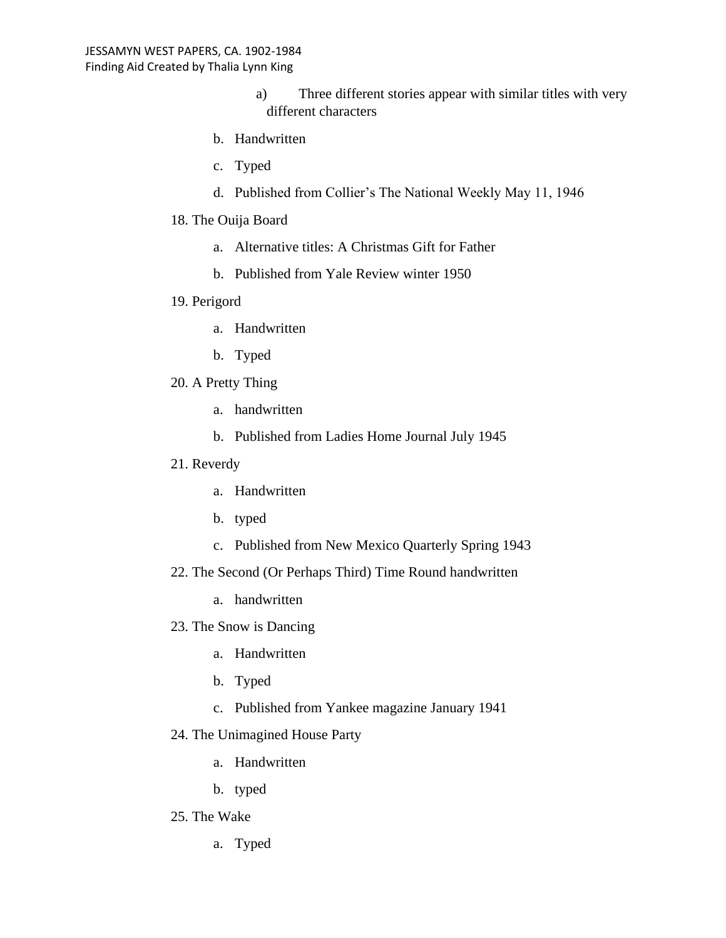- a) Three different stories appear with similar titles with very different characters
- b. Handwritten
- c. Typed
- d. Published from Collier's The National Weekly May 11, 1946
- 18. The Ouija Board
	- a. Alternative titles: A Christmas Gift for Father
	- b. Published from Yale Review winter 1950

## 19. Perigord

- a. Handwritten
- b. Typed
- 20. A Pretty Thing
	- a. handwritten
	- b. Published from Ladies Home Journal July 1945

## 21. Reverdy

- a. Handwritten
- b. typed
- c. Published from New Mexico Quarterly Spring 1943
- 22. The Second (Or Perhaps Third) Time Round handwritten
	- a. handwritten
- 23. The Snow is Dancing
	- a. Handwritten
	- b. Typed
	- c. Published from Yankee magazine January 1941

## 24. The Unimagined House Party

- a. Handwritten
- b. typed

## 25. The Wake

a. Typed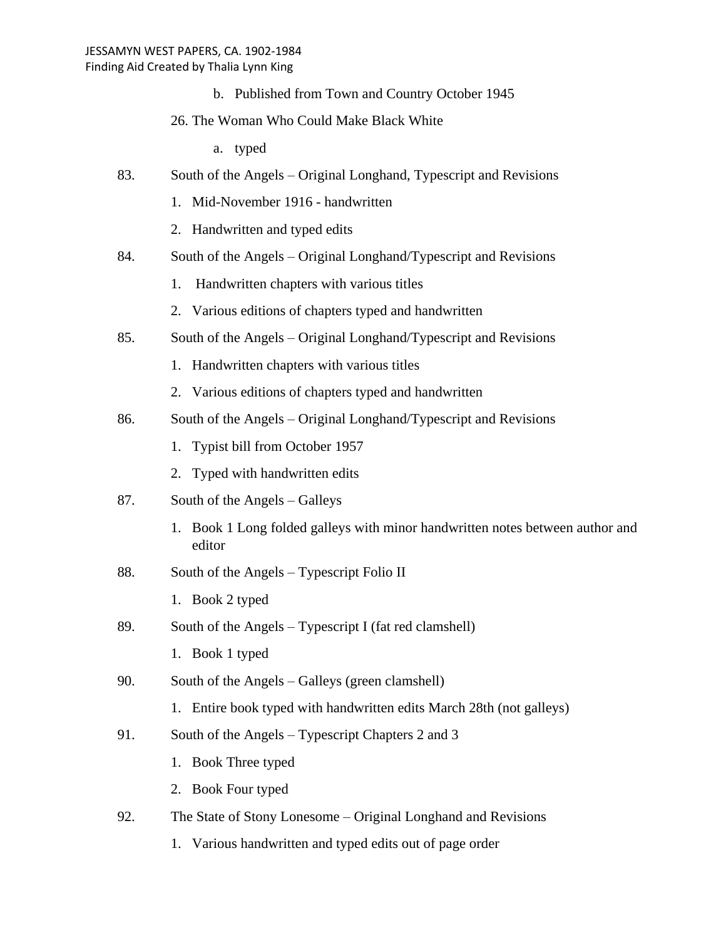b. Published from Town and Country October 1945

## 26. The Woman Who Could Make Black White

- a. typed
- 83. South of the Angels Original Longhand, Typescript and Revisions
	- 1. Mid-November 1916 handwritten
	- 2. Handwritten and typed edits
- 84. South of the Angels Original Longhand/Typescript and Revisions
	- 1. Handwritten chapters with various titles
	- 2. Various editions of chapters typed and handwritten
- 85. South of the Angels Original Longhand/Typescript and Revisions
	- 1. Handwritten chapters with various titles
	- 2. Various editions of chapters typed and handwritten
- 86. South of the Angels Original Longhand/Typescript and Revisions
	- 1. Typist bill from October 1957
	- 2. Typed with handwritten edits
- 87. South of the Angels Galleys
	- 1. Book 1 Long folded galleys with minor handwritten notes between author and editor
- 88. South of the Angels Typescript Folio II
	- 1. Book 2 typed
- 89. South of the Angels Typescript I (fat red clamshell)
	- 1. Book 1 typed
- 90. South of the Angels Galleys (green clamshell)
	- 1. Entire book typed with handwritten edits March 28th (not galleys)
- 91. South of the Angels Typescript Chapters 2 and 3
	- 1. Book Three typed
	- 2. Book Four typed
- 92. The State of Stony Lonesome Original Longhand and Revisions
	- 1. Various handwritten and typed edits out of page order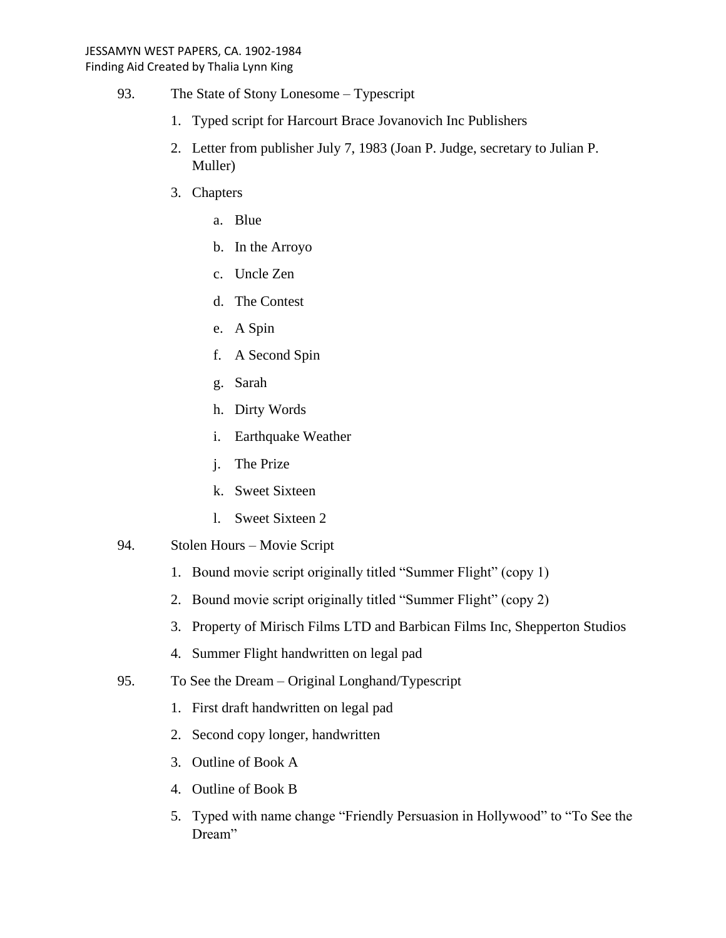- 93. The State of Stony Lonesome Typescript
	- 1. Typed script for Harcourt Brace Jovanovich Inc Publishers
	- 2. Letter from publisher July 7, 1983 (Joan P. Judge, secretary to Julian P. Muller)
	- 3. Chapters
		- a. Blue
		- b. In the Arroyo
		- c. Uncle Zen
		- d. The Contest
		- e. A Spin
		- f. A Second Spin
		- g. Sarah
		- h. Dirty Words
		- i. Earthquake Weather
		- j. The Prize
		- k. Sweet Sixteen
		- l. Sweet Sixteen 2
- 94. Stolen Hours Movie Script
	- 1. Bound movie script originally titled "Summer Flight" (copy 1)
	- 2. Bound movie script originally titled "Summer Flight" (copy 2)
	- 3. Property of Mirisch Films LTD and Barbican Films Inc, Shepperton Studios
	- 4. Summer Flight handwritten on legal pad
- 95. To See the Dream Original Longhand/Typescript
	- 1. First draft handwritten on legal pad
	- 2. Second copy longer, handwritten
	- 3. Outline of Book A
	- 4. Outline of Book B
	- 5. Typed with name change "Friendly Persuasion in Hollywood" to "To See the Dream"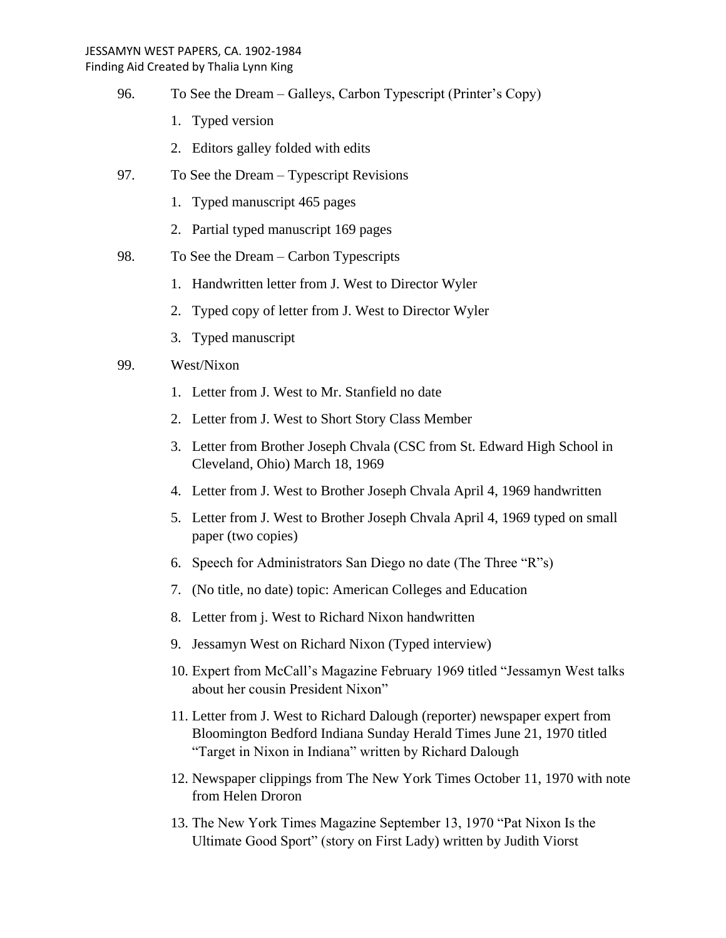Finding Aid Created by Thalia Lynn King

- 96. To See the Dream Galleys, Carbon Typescript (Printer's Copy)
	- 1. Typed version
	- 2. Editors galley folded with edits
- 97. To See the Dream Typescript Revisions
	- 1. Typed manuscript 465 pages
	- 2. Partial typed manuscript 169 pages
- 98. To See the Dream Carbon Typescripts
	- 1. Handwritten letter from J. West to Director Wyler
	- 2. Typed copy of letter from J. West to Director Wyler
	- 3. Typed manuscript

## 99. West/Nixon

- 1. Letter from J. West to Mr. Stanfield no date
- 2. Letter from J. West to Short Story Class Member
- 3. Letter from Brother Joseph Chvala (CSC from St. Edward High School in Cleveland, Ohio) March 18, 1969
- 4. Letter from J. West to Brother Joseph Chvala April 4, 1969 handwritten
- 5. Letter from J. West to Brother Joseph Chvala April 4, 1969 typed on small paper (two copies)
- 6. Speech for Administrators San Diego no date (The Three "R"s)
- 7. (No title, no date) topic: American Colleges and Education
- 8. Letter from j. West to Richard Nixon handwritten
- 9. Jessamyn West on Richard Nixon (Typed interview)
- 10. Expert from McCall's Magazine February 1969 titled "Jessamyn West talks about her cousin President Nixon"
- 11. Letter from J. West to Richard Dalough (reporter) newspaper expert from Bloomington Bedford Indiana Sunday Herald Times June 21, 1970 titled "Target in Nixon in Indiana" written by Richard Dalough
- 12. Newspaper clippings from The New York Times October 11, 1970 with note from Helen Droron
- 13. The New York Times Magazine September 13, 1970 "Pat Nixon Is the Ultimate Good Sport" (story on First Lady) written by Judith Viorst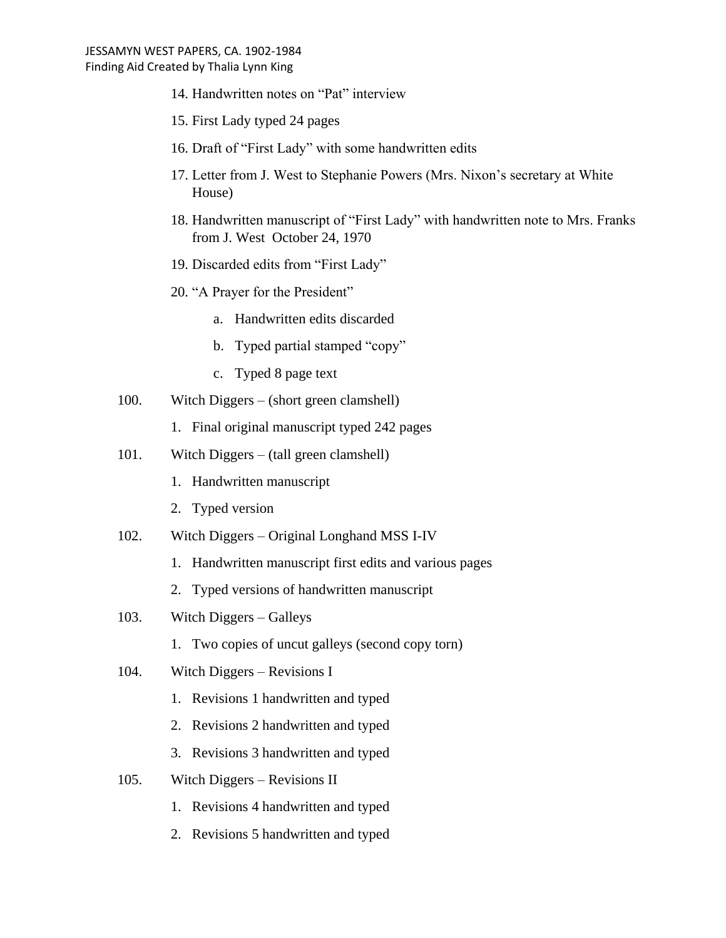- 14. Handwritten notes on "Pat" interview
- 15. First Lady typed 24 pages
- 16. Draft of "First Lady" with some handwritten edits
- 17. Letter from J. West to Stephanie Powers (Mrs. Nixon's secretary at White House)
- 18. Handwritten manuscript of "First Lady" with handwritten note to Mrs. Franks from J. West October 24, 1970
- 19. Discarded edits from "First Lady"
- 20. "A Prayer for the President"
	- a. Handwritten edits discarded
	- b. Typed partial stamped "copy"
	- c. Typed 8 page text
- 100. Witch Diggers (short green clamshell)
	- 1. Final original manuscript typed 242 pages
- 101. Witch Diggers (tall green clamshell)
	- 1. Handwritten manuscript
	- 2. Typed version
- 102. Witch Diggers Original Longhand MSS I-IV
	- 1. Handwritten manuscript first edits and various pages
	- 2. Typed versions of handwritten manuscript
- 103. Witch Diggers Galleys
	- 1. Two copies of uncut galleys (second copy torn)
- 104. Witch Diggers Revisions I
	- 1. Revisions 1 handwritten and typed
	- 2. Revisions 2 handwritten and typed
	- 3. Revisions 3 handwritten and typed
- 105. Witch Diggers Revisions II
	- 1. Revisions 4 handwritten and typed
	- 2. Revisions 5 handwritten and typed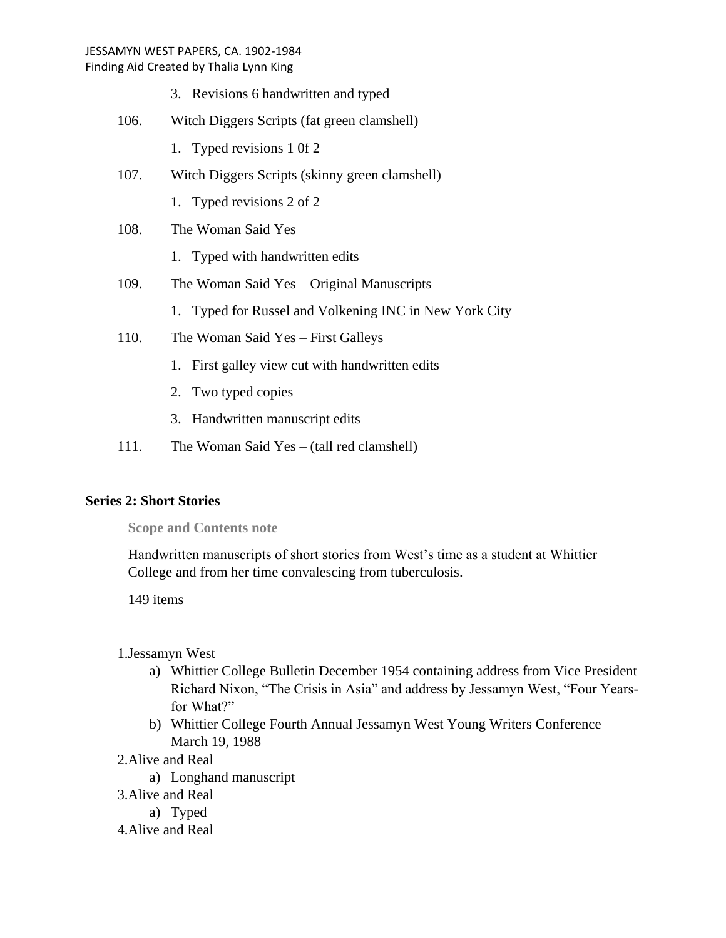Finding Aid Created by Thalia Lynn King

- 3. Revisions 6 handwritten and typed
- 106. Witch Diggers Scripts (fat green clamshell)
	- 1. Typed revisions 1 0f 2
- 107. Witch Diggers Scripts (skinny green clamshell)
	- 1. Typed revisions 2 of 2
- 108. The Woman Said Yes
	- 1. Typed with handwritten edits
- 109. The Woman Said Yes Original Manuscripts
	- 1. Typed for Russel and Volkening INC in New York City
- 110. The Woman Said Yes First Galleys
	- 1. First galley view cut with handwritten edits
	- 2. Two typed copies
	- 3. Handwritten manuscript edits
- 111. The Woman Said Yes (tall red clamshell)

## **Series 2: Short Stories**

**Scope and Contents note**

Handwritten manuscripts of short stories from West's time as a student at Whittier College and from her time convalescing from tuberculosis.

149 items

- 1.Jessamyn West
	- a) Whittier College Bulletin December 1954 containing address from Vice President Richard Nixon, "The Crisis in Asia" and address by Jessamyn West, "Four Yearsfor What?"
	- b) Whittier College Fourth Annual Jessamyn West Young Writers Conference March 19, 1988
- 2.Alive and Real
	- a) Longhand manuscript
- 3.Alive and Real
	- a) Typed
- 4.Alive and Real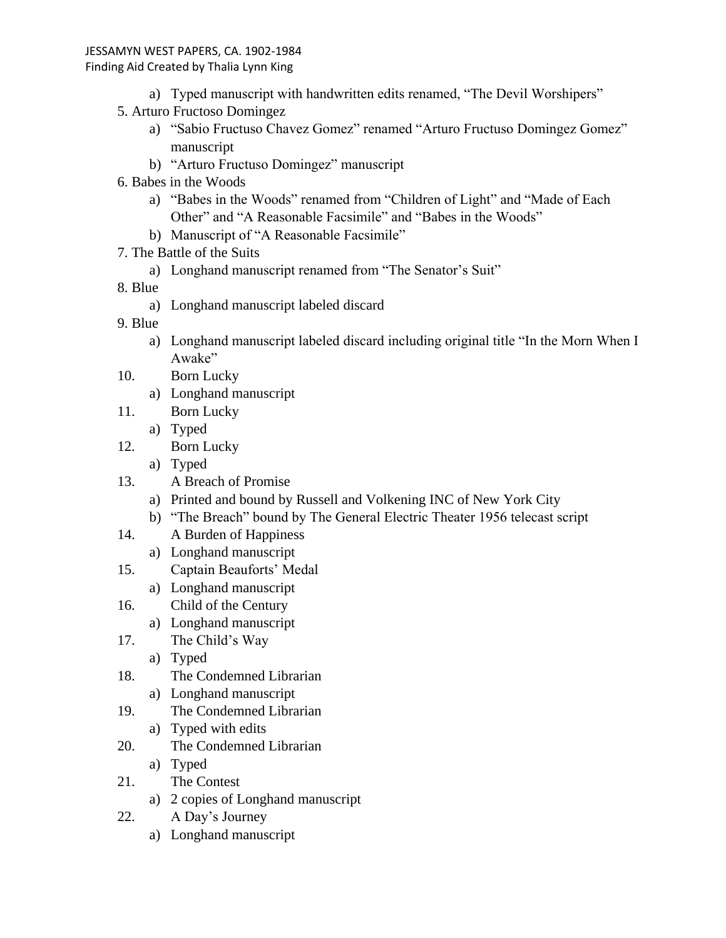#### Finding Aid Created by Thalia Lynn King

- a) Typed manuscript with handwritten edits renamed, "The Devil Worshipers"
- 5. Arturo Fructoso Domingez
	- a) "Sabio Fructuso Chavez Gomez" renamed "Arturo Fructuso Domingez Gomez" manuscript
	- b) "Arturo Fructuso Domingez" manuscript
- 6. Babes in the Woods
	- a) "Babes in the Woods" renamed from "Children of Light" and "Made of Each Other" and "A Reasonable Facsimile" and "Babes in the Woods"
	- b) Manuscript of "A Reasonable Facsimile"
- 7. The Battle of the Suits
	- a) Longhand manuscript renamed from "The Senator's Suit"
- 8. Blue
	- a) Longhand manuscript labeled discard
- 9. Blue
	- a) Longhand manuscript labeled discard including original title "In the Morn When I Awake"
- 10. Born Lucky
	- a) Longhand manuscript
- 11. Born Lucky
	- a) Typed
- 12. Born Lucky
	- a) Typed
- 13. A Breach of Promise
	- a) Printed and bound by Russell and Volkening INC of New York City
	- b) "The Breach" bound by The General Electric Theater 1956 telecast script
- 14. A Burden of Happiness
	- a) Longhand manuscript
- 15. Captain Beauforts' Medal
	- a) Longhand manuscript
- 16. Child of the Century
	- a) Longhand manuscript
- 17. The Child's Way
	- a) Typed
- 18. The Condemned Librarian
	- a) Longhand manuscript
- 19. The Condemned Librarian
	- a) Typed with edits
- 20. The Condemned Librarian
	- a) Typed
- 21. The Contest
	- a) 2 copies of Longhand manuscript
- 22. A Day's Journey
	- a) Longhand manuscript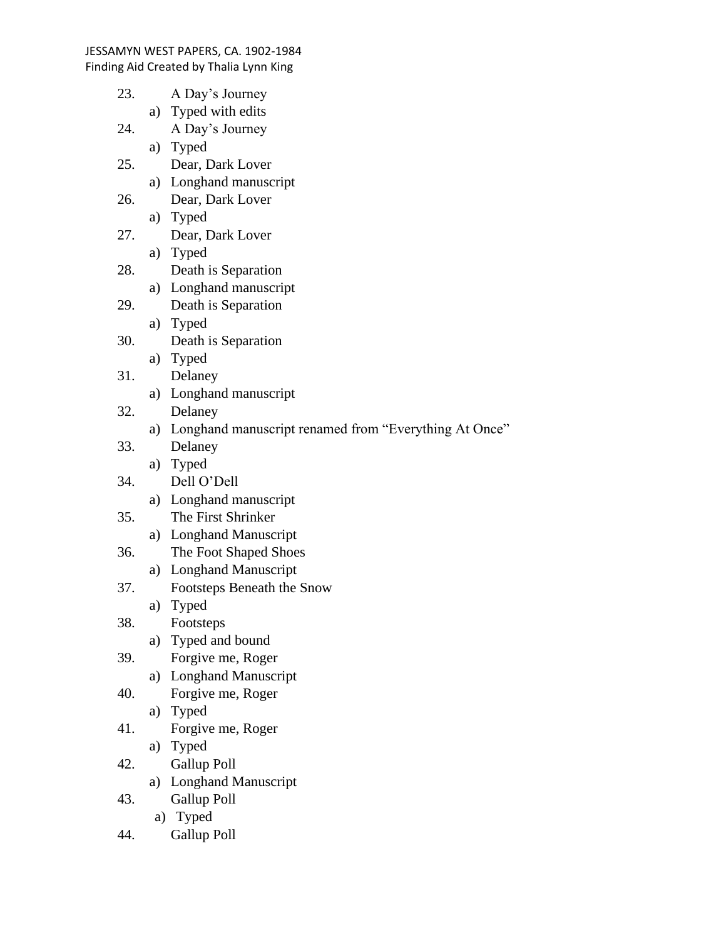| 23. |    | A Day's Journey                                          |
|-----|----|----------------------------------------------------------|
|     |    | a) Typed with edits                                      |
| 24. |    | A Day's Journey                                          |
|     | a) | <b>Typed</b>                                             |
| 25. |    | Dear, Dark Lover                                         |
|     |    | a) Longhand manuscript                                   |
| 26. |    | Dear, Dark Lover                                         |
|     |    | a) Typed                                                 |
| 27. |    | Dear, Dark Lover                                         |
|     |    | a) Typed                                                 |
| 28. |    | Death is Separation                                      |
|     |    | a) Longhand manuscript                                   |
| 29. |    | Death is Separation                                      |
|     |    | a) Typed                                                 |
| 30. |    | Death is Separation                                      |
|     |    | a) Typed                                                 |
| 31. |    | Delaney                                                  |
|     |    | a) Longhand manuscript                                   |
| 32. |    | Delaney                                                  |
|     |    | a) Longhand manuscript renamed from "Everything At Once" |
| 33. |    | Delaney                                                  |
|     | a) | <b>Typed</b>                                             |
| 34. |    | Dell O'Dell                                              |
|     |    | a) Longhand manuscript                                   |
| 35. |    | The First Shrinker                                       |
|     |    | a) Longhand Manuscript                                   |
| 36. |    | The Foot Shaped Shoes                                    |
|     |    | a) Longhand Manuscript                                   |
| 37. |    | Footsteps Beneath the Snow                               |
|     | a) | Typed                                                    |
| 38. |    | Footsteps                                                |
|     |    | a) Typed and bound                                       |
| 39. |    | Forgive me, Roger                                        |
|     |    | a) Longhand Manuscript                                   |
| 40. |    | Forgive me, Roger                                        |
|     |    | a) Typed                                                 |
| 41. |    | Forgive me, Roger                                        |
|     | a) | Typed                                                    |
| 42. |    | <b>Gallup Poll</b>                                       |
|     | a) | <b>Longhand Manuscript</b>                               |
| 43. |    | <b>Gallup Poll</b>                                       |
|     |    | a) Typed                                                 |

44. Gallup Poll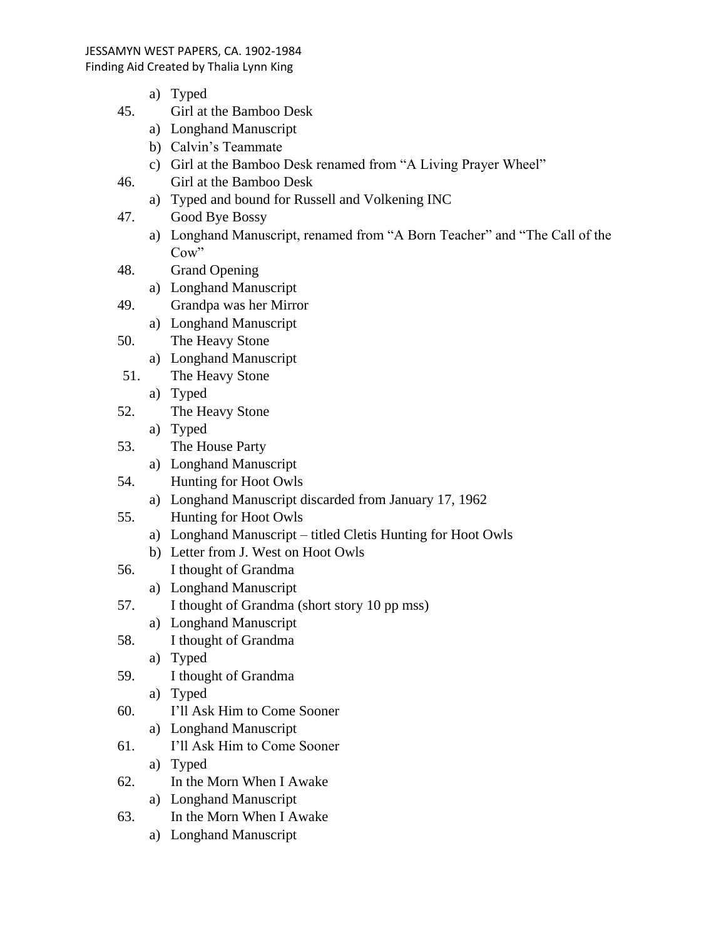- a) Typed
- 45. Girl at the Bamboo Desk
	- a) Longhand Manuscript
	- b) Calvin's Teammate
	- c) Girl at the Bamboo Desk renamed from "A Living Prayer Wheel"
- 46. Girl at the Bamboo Desk
	- a) Typed and bound for Russell and Volkening INC
- 47. Good Bye Bossy
	- a) Longhand Manuscript, renamed from "A Born Teacher" and "The Call of the Cow"
- 48. Grand Opening
	- a) Longhand Manuscript
- 49. Grandpa was her Mirror
	- a) Longhand Manuscript
- 50. The Heavy Stone
	- a) Longhand Manuscript
- 51. The Heavy Stone
	- a) Typed
- 52. The Heavy Stone
	- a) Typed
- 53. The House Party
	- a) Longhand Manuscript
- 54. Hunting for Hoot Owls
	- a) Longhand Manuscript discarded from January 17, 1962
- 55. Hunting for Hoot Owls
	- a) Longhand Manuscript titled Cletis Hunting for Hoot Owls
	- b) Letter from J. West on Hoot Owls
- 56. I thought of Grandma
	- a) Longhand Manuscript
- 57. I thought of Grandma (short story 10 pp mss)
	- a) Longhand Manuscript
- 58. I thought of Grandma
	- a) Typed
- 59. I thought of Grandma
	- a) Typed
- 60. I'll Ask Him to Come Sooner
	- a) Longhand Manuscript
- 61. I'll Ask Him to Come Sooner
	- a) Typed
- 62. In the Morn When I Awake
	- a) Longhand Manuscript
- 63. In the Morn When I Awake
	- a) Longhand Manuscript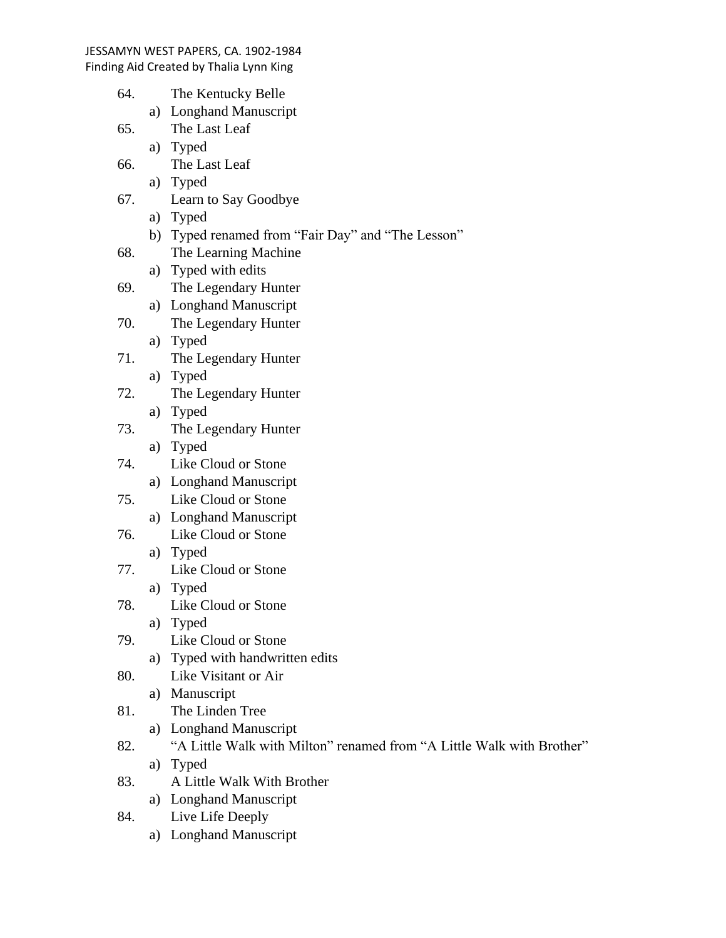- 64. The Kentucky Belle
	- a) Longhand Manuscript
- 65. The Last Leaf
	- a) Typed
- 66. The Last Leaf
	- a) Typed
- 67. Learn to Say Goodbye
	- a) Typed
	- b) Typed renamed from "Fair Day" and "The Lesson"
- 68. The Learning Machine
- a) Typed with edits
- 69. The Legendary Hunter
	- a) Longhand Manuscript
- 70. The Legendary Hunter
	- a) Typed
- 71. The Legendary Hunter
	- a) Typed
- 72. The Legendary Hunter
	- a) Typed
- 73. The Legendary Hunter a) Typed
- 74. Like Cloud or Stone
	- a) Longhand Manuscript
- 75. Like Cloud or Stone
	- a) Longhand Manuscript
- 76. Like Cloud or Stone
	- a) Typed
- 77. Like Cloud or Stone
	- a) Typed
- 78. Like Cloud or Stone
	- a) Typed
- 79. Like Cloud or Stone
	- a) Typed with handwritten edits
- 80. Like Visitant or Air
	- a) Manuscript
- 81. The Linden Tree
	- a) Longhand Manuscript
- 82. "A Little Walk with Milton" renamed from "A Little Walk with Brother" a) Typed
- 83. A Little Walk With Brother
	- a) Longhand Manuscript
- 84. Live Life Deeply
	- a) Longhand Manuscript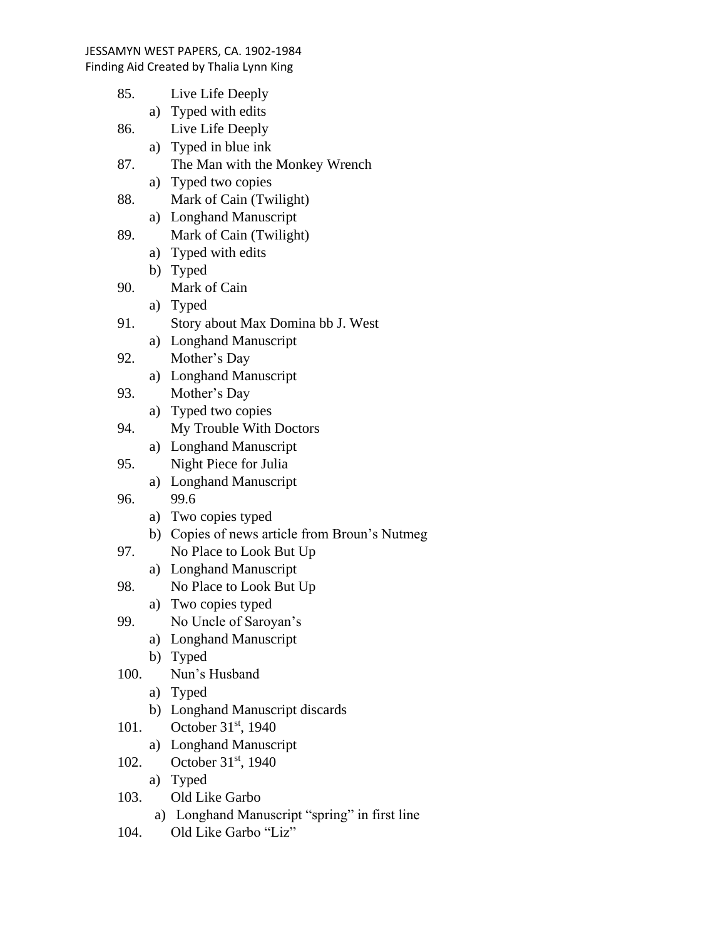- 85. Live Life Deeply a) Typed with edits 86. Live Life Deeply a) Typed in blue ink 87. The Man with the Monkey Wrench a) Typed two copies 88. Mark of Cain (Twilight) a) Longhand Manuscript 89. Mark of Cain (Twilight) a) Typed with edits b) Typed 90. Mark of Cain a) Typed 91. Story about Max Domina bb J. West a) Longhand Manuscript 92. Mother's Day a) Longhand Manuscript 93. Mother's Day a) Typed two copies 94. My Trouble With Doctors a) Longhand Manuscript 95. Night Piece for Julia a) Longhand Manuscript 96. 99.6 a) Two copies typed b) Copies of news article from Broun's Nutmeg 97. No Place to Look But Up a) Longhand Manuscript 98. No Place to Look But Up a) Two copies typed 99. No Uncle of Saroyan's a) Longhand Manuscript b) Typed 100. Nun's Husband a) Typed b) Longhand Manuscript discards 101. October 31<sup>st</sup>, 1940 a) Longhand Manuscript 102. October 31<sup>st</sup>, 1940 a) Typed 103. Old Like Garbo
	- a) Longhand Manuscript "spring" in first line
- 104. Old Like Garbo "Liz"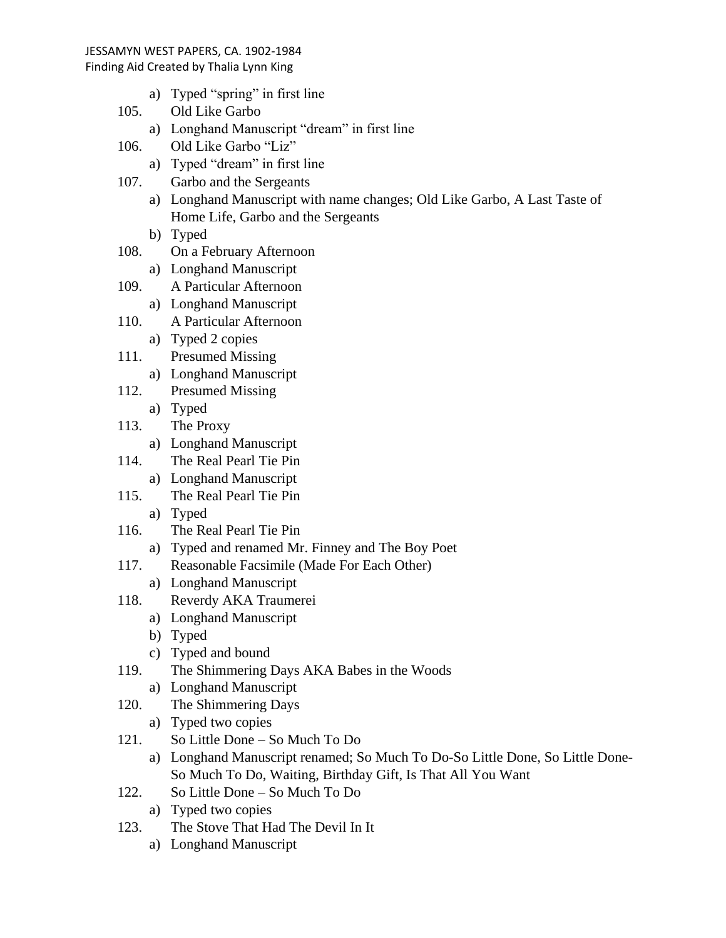Finding Aid Created by Thalia Lynn King

- a) Typed "spring" in first line
- 105. Old Like Garbo
	- a) Longhand Manuscript "dream" in first line
- 106. Old Like Garbo "Liz"
	- a) Typed "dream" in first line
- 107. Garbo and the Sergeants
	- a) Longhand Manuscript with name changes; Old Like Garbo, A Last Taste of Home Life, Garbo and the Sergeants
	- b) Typed
- 108. On a February Afternoon
	- a) Longhand Manuscript
- 109. A Particular Afternoon
	- a) Longhand Manuscript
- 110. A Particular Afternoon
	- a) Typed 2 copies
- 111. Presumed Missing
	- a) Longhand Manuscript
- 112. Presumed Missing a) Typed
- 113. The Proxy
	- a) Longhand Manuscript
- 114. The Real Pearl Tie Pin
	- a) Longhand Manuscript
- 115. The Real Pearl Tie Pin
	- a) Typed
- 116. The Real Pearl Tie Pin
	- a) Typed and renamed Mr. Finney and The Boy Poet
- 117. Reasonable Facsimile (Made For Each Other)
- a) Longhand Manuscript
- 118. Reverdy AKA Traumerei
	- a) Longhand Manuscript
	- b) Typed
	- c) Typed and bound
- 119. The Shimmering Days AKA Babes in the Woods
	- a) Longhand Manuscript
- 120. The Shimmering Days
	- a) Typed two copies
- 121. So Little Done So Much To Do
	- a) Longhand Manuscript renamed; So Much To Do-So Little Done, So Little Done-So Much To Do, Waiting, Birthday Gift, Is That All You Want
- 122. So Little Done So Much To Do
	- a) Typed two copies
- 123. The Stove That Had The Devil In It
	- a) Longhand Manuscript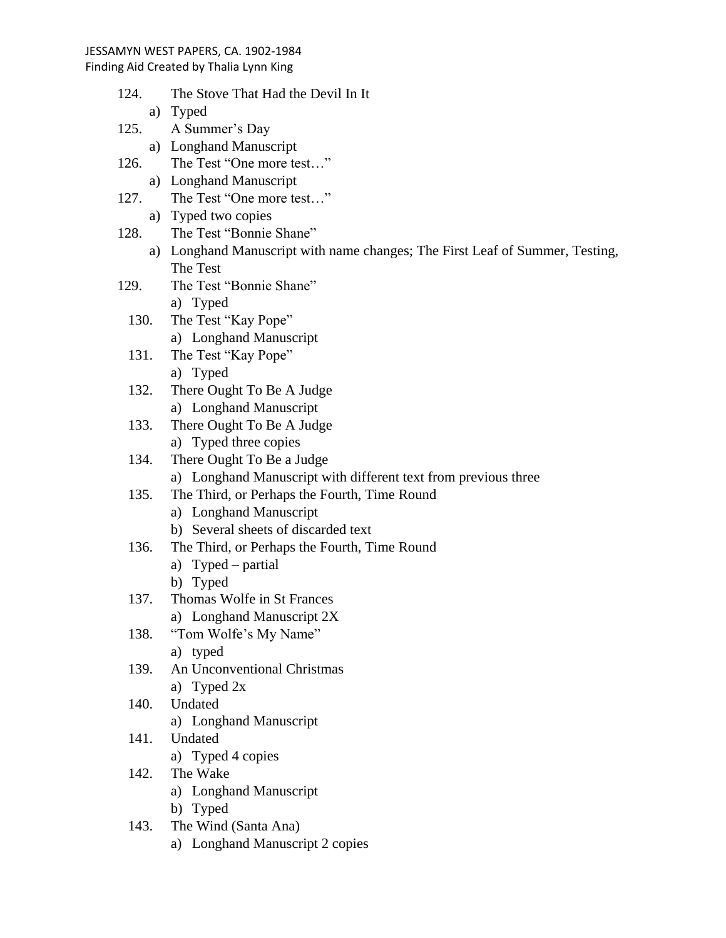Finding Aid Created by Thalia Lynn King

- 124. The Stove That Had the Devil In It a) Typed 125. A Summer's Day a) Longhand Manuscript 126. The Test "One more test…" a) Longhand Manuscript 127. The Test "One more test…" a) Typed two copies 128. The Test "Bonnie Shane" a) Longhand Manuscript with name changes; The First Leaf of Summer, Testing, The Test 129. The Test "Bonnie Shane" a) Typed 130. The Test "Kay Pope" a) Longhand Manuscript 131. The Test "Kay Pope" a) Typed 132. There Ought To Be A Judge a) Longhand Manuscript 133. There Ought To Be A Judge a) Typed three copies 134. There Ought To Be a Judge a) Longhand Manuscript with different text from previous three 135. The Third, or Perhaps the Fourth, Time Round a) Longhand Manuscript b) Several sheets of discarded text 136. The Third, or Perhaps the Fourth, Time Round a) Typed – partial b) Typed 137. Thomas Wolfe in St Frances
	- a) Longhand Manuscript 2X 138. "Tom Wolfe's My Name"
		- a) typed
	- 139. An Unconventional Christmas a) Typed 2x
	- 140. Undated
		- a) Longhand Manuscript
	- 141. Undated
		- a) Typed 4 copies
	- 142. The Wake
		- a) Longhand Manuscript
		- b) Typed
	- 143. The Wind (Santa Ana)
		- a) Longhand Manuscript 2 copies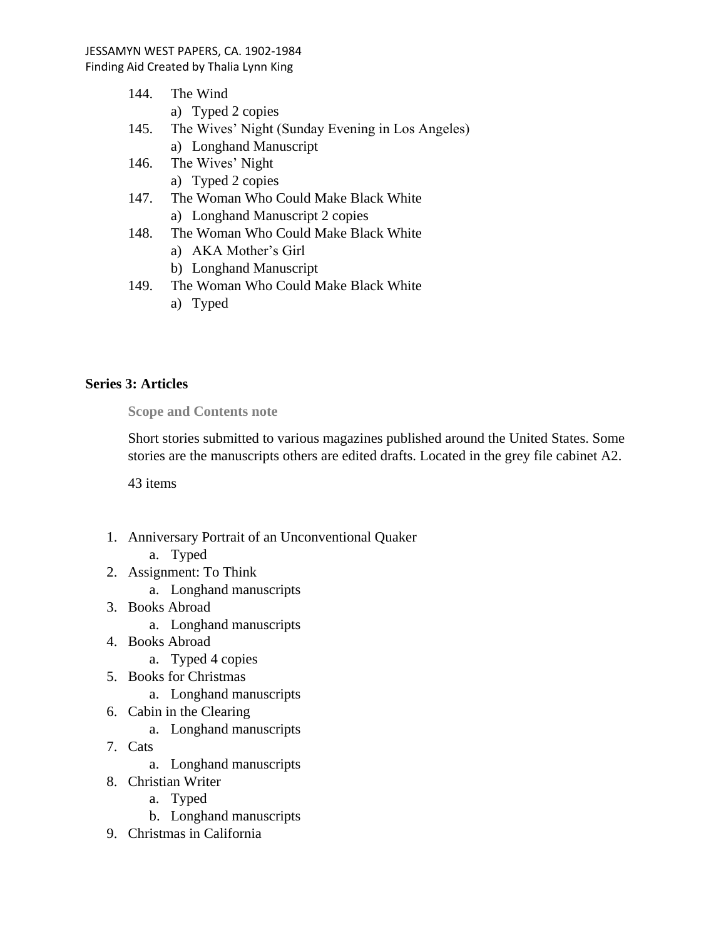- 144. The Wind a) Typed 2 copies
- 145. The Wives' Night (Sunday Evening in Los Angeles) a) Longhand Manuscript
- 146. The Wives' Night
	- a) Typed 2 copies
- 147. The Woman Who Could Make Black White a) Longhand Manuscript 2 copies
- 148. The Woman Who Could Make Black White
	- a) AKA Mother's Girl
	- b) Longhand Manuscript
- 149. The Woman Who Could Make Black White
	- a) Typed

# **Series 3: Articles**

**Scope and Contents note**

Short stories submitted to various magazines published around the United States. Some stories are the manuscripts others are edited drafts. Located in the grey file cabinet A2.

43 items

- 1. Anniversary Portrait of an Unconventional Quaker
	- a. Typed
- 2. Assignment: To Think
	- a. Longhand manuscripts
- 3. Books Abroad
	- a. Longhand manuscripts
- 4. Books Abroad
	- a. Typed 4 copies
- 5. Books for Christmas
	- a. Longhand manuscripts
- 6. Cabin in the Clearing
	- a. Longhand manuscripts
- 7. Cats
	- a. Longhand manuscripts
- 8. Christian Writer
	- a. Typed
	- b. Longhand manuscripts
- 9. Christmas in California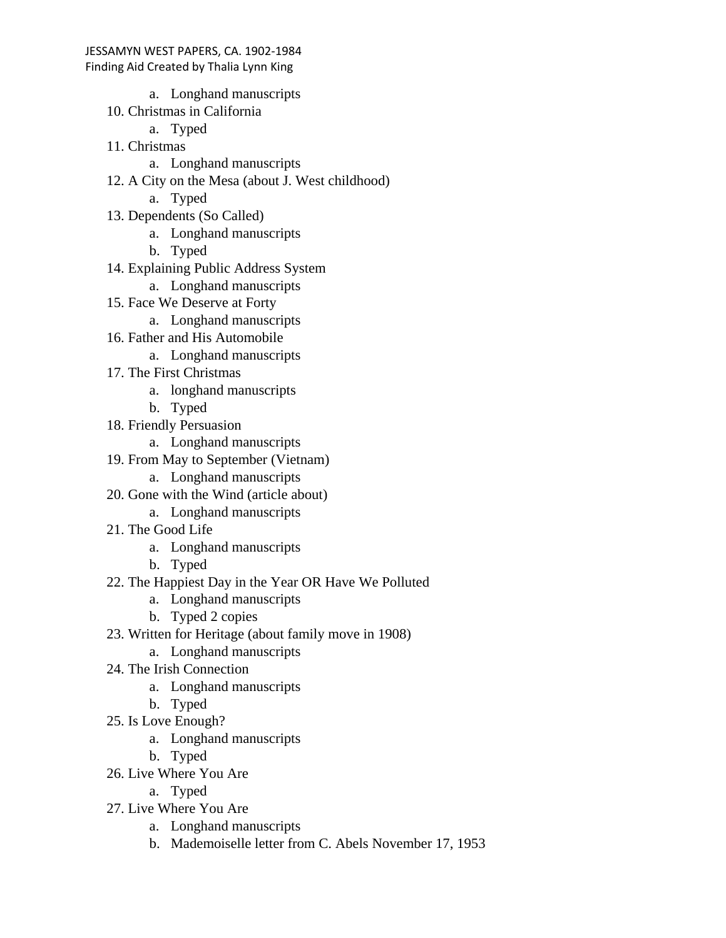- - a. Longhand manuscripts
- 10. Christmas in California
	- a. Typed
- 11. Christmas
	- a. Longhand manuscripts
- 12. A City on the Mesa (about J. West childhood)
	- a. Typed
- 13. Dependents (So Called)
	- a. Longhand manuscripts
	- b. Typed
- 14. Explaining Public Address System
	- a. Longhand manuscripts
- 15. Face We Deserve at Forty
	- a. Longhand manuscripts
- 16. Father and His Automobile
	- a. Longhand manuscripts
- 17. The First Christmas
	- a. longhand manuscripts
	- b. Typed
- 18. Friendly Persuasion
	- a. Longhand manuscripts
- 19. From May to September (Vietnam)
	- a. Longhand manuscripts
- 20. Gone with the Wind (article about)
	- a. Longhand manuscripts
- 21. The Good Life
	- a. Longhand manuscripts
	- b. Typed
- 22. The Happiest Day in the Year OR Have We Polluted
	- a. Longhand manuscripts
	- b. Typed 2 copies
- 23. Written for Heritage (about family move in 1908)
	- a. Longhand manuscripts
- 24. The Irish Connection
	- a. Longhand manuscripts
	- b. Typed
- 25. Is Love Enough?
	- a. Longhand manuscripts
	- b. Typed
- 26. Live Where You Are
	- a. Typed
- 27. Live Where You Are
	- a. Longhand manuscripts
	- b. Mademoiselle letter from C. Abels November 17, 1953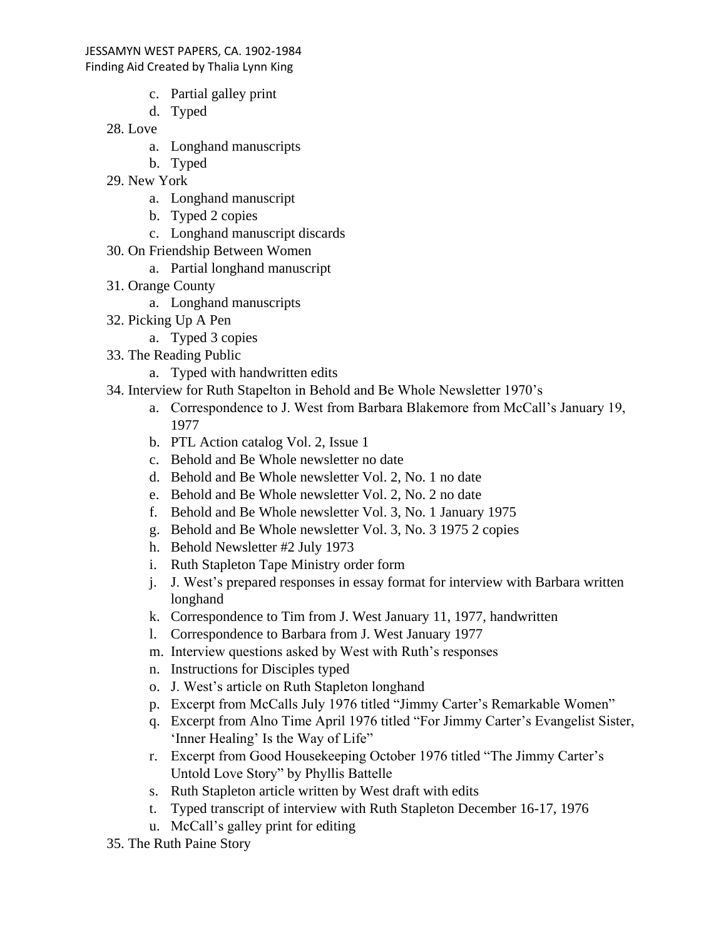#### Finding Aid Created by Thalia Lynn King

- c. Partial galley print
- d. Typed
- 28. Love
	- a. Longhand manuscripts
	- b. Typed
- 29. New York
	- a. Longhand manuscript
	- b. Typed 2 copies
	- c. Longhand manuscript discards
- 30. On Friendship Between Women
	- a. Partial longhand manuscript
- 31. Orange County
	- a. Longhand manuscripts
- 32. Picking Up A Pen
	- a. Typed 3 copies
- 33. The Reading Public
	- a. Typed with handwritten edits
- 34. Interview for Ruth Stapelton in Behold and Be Whole Newsletter 1970's
	- a. Correspondence to J. West from Barbara Blakemore from McCall's January 19, 1977
	- b. PTL Action catalog Vol. 2, Issue 1
	- c. Behold and Be Whole newsletter no date
	- d. Behold and Be Whole newsletter Vol. 2, No. 1 no date
	- e. Behold and Be Whole newsletter Vol. 2, No. 2 no date
	- f. Behold and Be Whole newsletter Vol. 3, No. 1 January 1975
	- g. Behold and Be Whole newsletter Vol. 3, No. 3 1975 2 copies
	- h. Behold Newsletter #2 July 1973
	- i. Ruth Stapleton Tape Ministry order form
	- j. J. West's prepared responses in essay format for interview with Barbara written longhand
	- k. Correspondence to Tim from J. West January 11, 1977, handwritten
	- l. Correspondence to Barbara from J. West January 1977
	- m. Interview questions asked by West with Ruth's responses
	- n. Instructions for Disciples typed
	- o. J. West's article on Ruth Stapleton longhand
	- p. Excerpt from McCalls July 1976 titled "Jimmy Carter's Remarkable Women"
	- q. Excerpt from Alno Time April 1976 titled "For Jimmy Carter's Evangelist Sister, 'Inner Healing' Is the Way of Life"
	- r. Excerpt from Good Housekeeping October 1976 titled "The Jimmy Carter's Untold Love Story" by Phyllis Battelle
	- s. Ruth Stapleton article written by West draft with edits
	- t. Typed transcript of interview with Ruth Stapleton December 16-17, 1976
	- u. McCall's galley print for editing
- 35. The Ruth Paine Story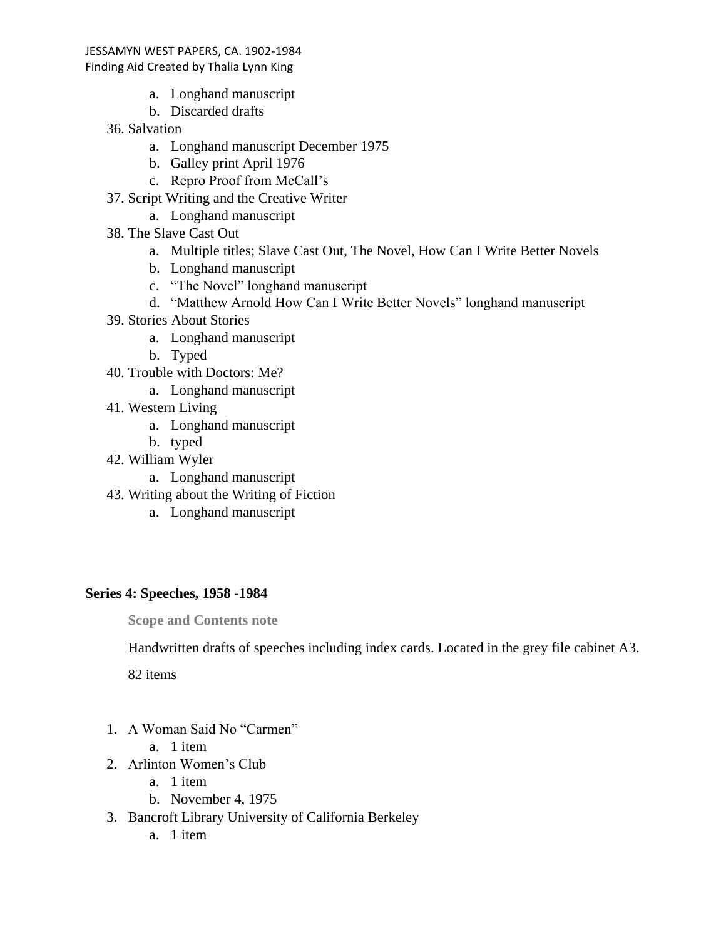## Finding Aid Created by Thalia Lynn King

- a. Longhand manuscript
- b. Discarded drafts
- 36. Salvation
	- a. Longhand manuscript December 1975
	- b. Galley print April 1976
	- c. Repro Proof from McCall's
- 37. Script Writing and the Creative Writer
	- a. Longhand manuscript
- 38. The Slave Cast Out
	- a. Multiple titles; Slave Cast Out, The Novel, How Can I Write Better Novels
	- b. Longhand manuscript
	- c. "The Novel" longhand manuscript
	- d. "Matthew Arnold How Can I Write Better Novels" longhand manuscript
- 39. Stories About Stories
	- a. Longhand manuscript
	- b. Typed
- 40. Trouble with Doctors: Me?
	- a. Longhand manuscript
- 41. Western Living
	- a. Longhand manuscript
	- b. typed
- 42. William Wyler
	- a. Longhand manuscript
- 43. Writing about the Writing of Fiction
	- a. Longhand manuscript

# **Series 4: Speeches, 1958 -1984**

**Scope and Contents note**

Handwritten drafts of speeches including index cards. Located in the grey file cabinet A3.

82 items

- 1. A Woman Said No "Carmen"
	- a. 1 item
- 2. Arlinton Women's Club
	- a. 1 item
	- b. November 4, 1975
- 3. Bancroft Library University of California Berkeley
	- a. 1 item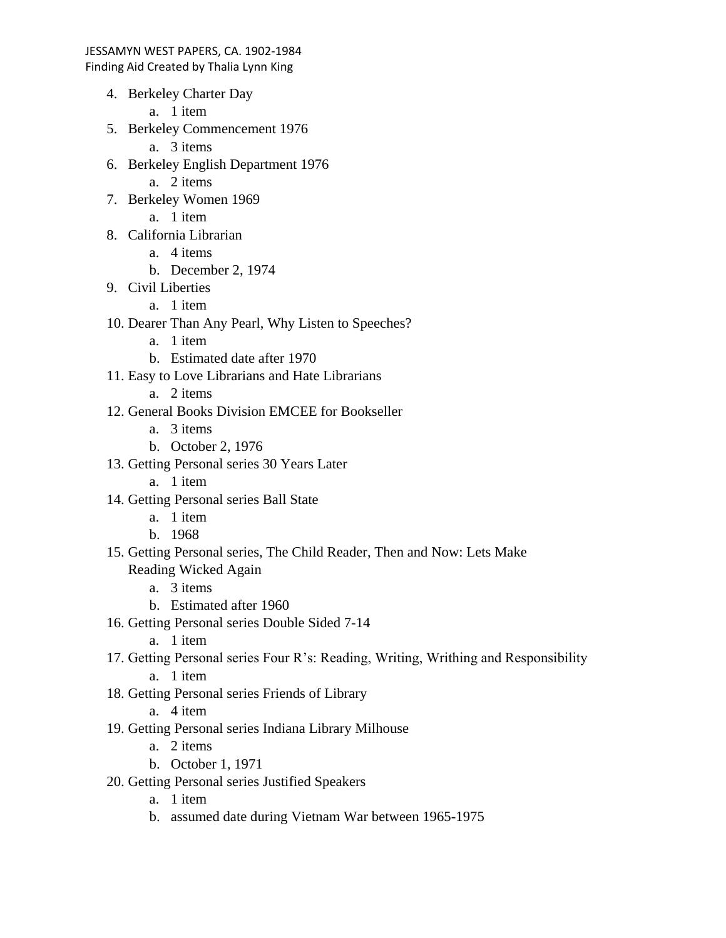- 4. Berkeley Charter Day
	- a. 1 item
- 5. Berkeley Commencement 1976
	- a. 3 items
- 6. Berkeley English Department 1976
	- a. 2 items
- 7. Berkeley Women 1969
	- a. 1 item
- 8. California Librarian
	- a. 4 items
	- b. December 2, 1974
- 9. Civil Liberties
	- a. 1 item
- 10. Dearer Than Any Pearl, Why Listen to Speeches?
	- a. 1 item
	- b. Estimated date after 1970
- 11. Easy to Love Librarians and Hate Librarians
	- a. 2 items
- 12. General Books Division EMCEE for Bookseller
	- a. 3 items
	- b. October 2, 1976
- 13. Getting Personal series 30 Years Later
	- a. 1 item
- 14. Getting Personal series Ball State
	- a. 1 item
	- b. 1968
- 15. Getting Personal series, The Child Reader, Then and Now: Lets Make Reading Wicked Again
	- a. 3 items
	- b. Estimated after 1960
- 16. Getting Personal series Double Sided 7-14
	- a. 1 item
- 17. Getting Personal series Four R's: Reading, Writing, Writhing and Responsibility a. 1 item
- 18. Getting Personal series Friends of Library
	- a. 4 item
- 19. Getting Personal series Indiana Library Milhouse
	- a. 2 items
	- b. October 1, 1971
- 20. Getting Personal series Justified Speakers
	- a. 1 item
	- b. assumed date during Vietnam War between 1965-1975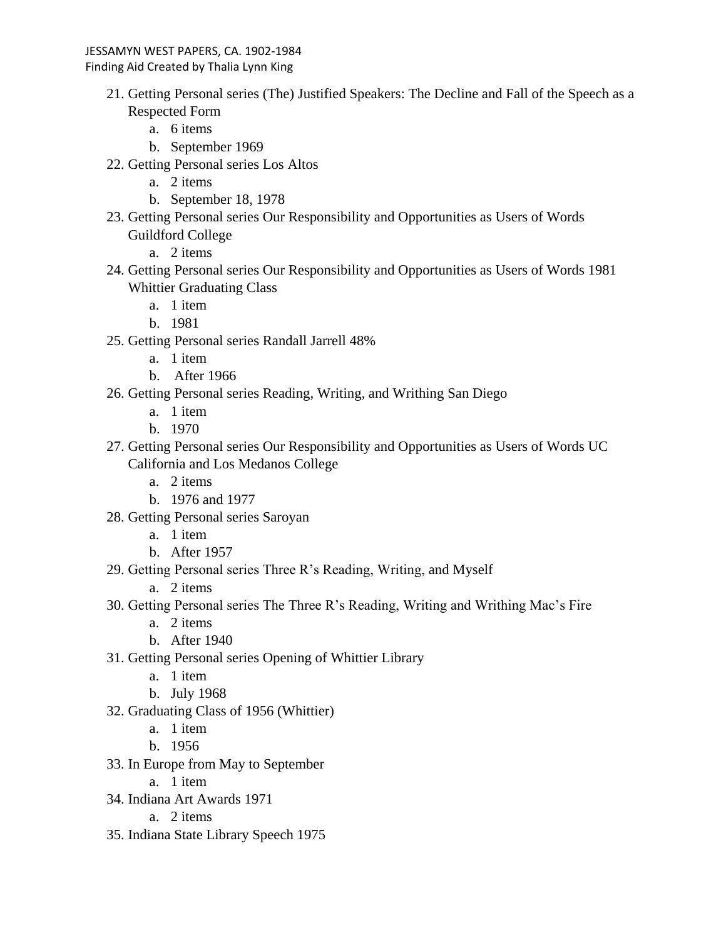- 21. Getting Personal series (The) Justified Speakers: The Decline and Fall of the Speech as a Respected Form
	- a. 6 items
	- b. September 1969
- 22. Getting Personal series Los Altos
	- a. 2 items
	- b. September 18, 1978
- 23. Getting Personal series Our Responsibility and Opportunities as Users of Words Guildford College

a. 2 items

- 24. Getting Personal series Our Responsibility and Opportunities as Users of Words 1981 Whittier Graduating Class
	- a. 1 item
	- b. 1981
- 25. Getting Personal series Randall Jarrell 48%
	- a. 1 item
	- b. After 1966
- 26. Getting Personal series Reading, Writing, and Writhing San Diego
	- a. 1 item
	- b. 1970
- 27. Getting Personal series Our Responsibility and Opportunities as Users of Words UC California and Los Medanos College
	- a. 2 items
	- b. 1976 and 1977
- 28. Getting Personal series Saroyan
	- a. 1 item
	- b. After 1957
- 29. Getting Personal series Three R's Reading, Writing, and Myself
	- a. 2 items
- 30. Getting Personal series The Three R's Reading, Writing and Writhing Mac's Fire
	- a. 2 items
	- b. After 1940
- 31. Getting Personal series Opening of Whittier Library
	- a. 1 item
	- b. July 1968
- 32. Graduating Class of 1956 (Whittier)
	- a. 1 item
	- b. 1956
- 33. In Europe from May to September
	- a. 1 item
- 34. Indiana Art Awards 1971

a. 2 items

35. Indiana State Library Speech 1975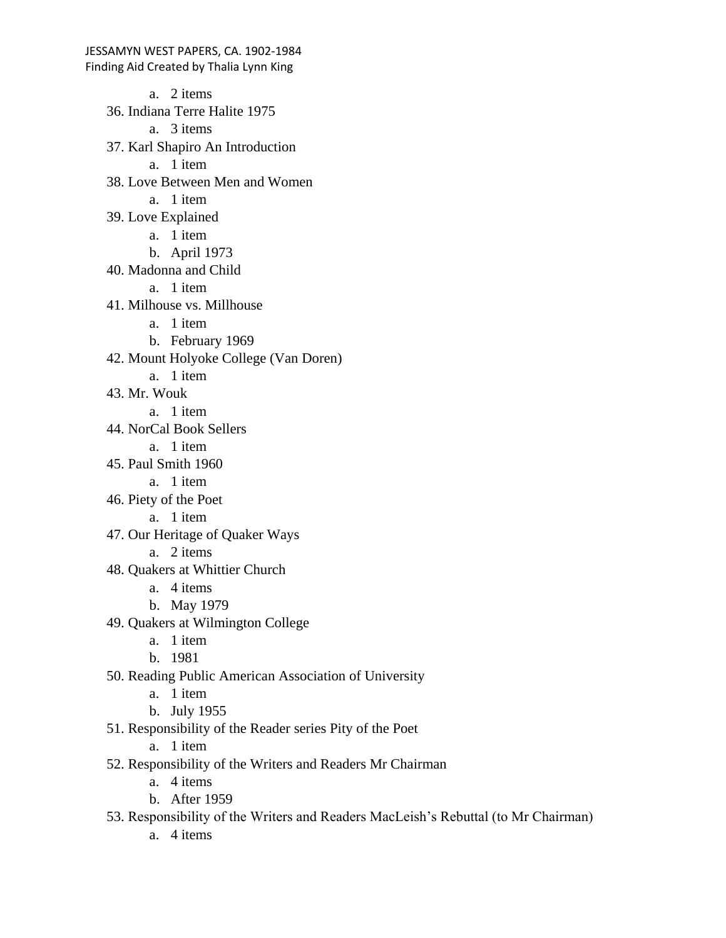a. 2 items 36. Indiana Terre Halite 1975 a. 3 items 37. Karl Shapiro An Introduction a. 1 item 38. Love Between Men and Women a. 1 item 39. Love Explained a. 1 item b. April 1973 40. Madonna and Child a. 1 item 41. Milhouse vs. Millhouse a. 1 item b. February 1969 42. Mount Holyoke College (Van Doren) a. 1 item 43. Mr. Wouk a. 1 item 44. NorCal Book Sellers a. 1 item 45. Paul Smith 1960 a. 1 item 46. Piety of the Poet a. 1 item 47. Our Heritage of Quaker Ways a. 2 items 48. Quakers at Whittier Church a. 4 items b. May 1979 49. Quakers at Wilmington College a. 1 item b. 1981 50. Reading Public American Association of University a. 1 item b. July 1955 51. Responsibility of the Reader series Pity of the Poet a. 1 item

52. Responsibility of the Writers and Readers Mr Chairman

- a. 4 items
- b. After 1959

53. Responsibility of the Writers and Readers MacLeish's Rebuttal (to Mr Chairman)

a. 4 items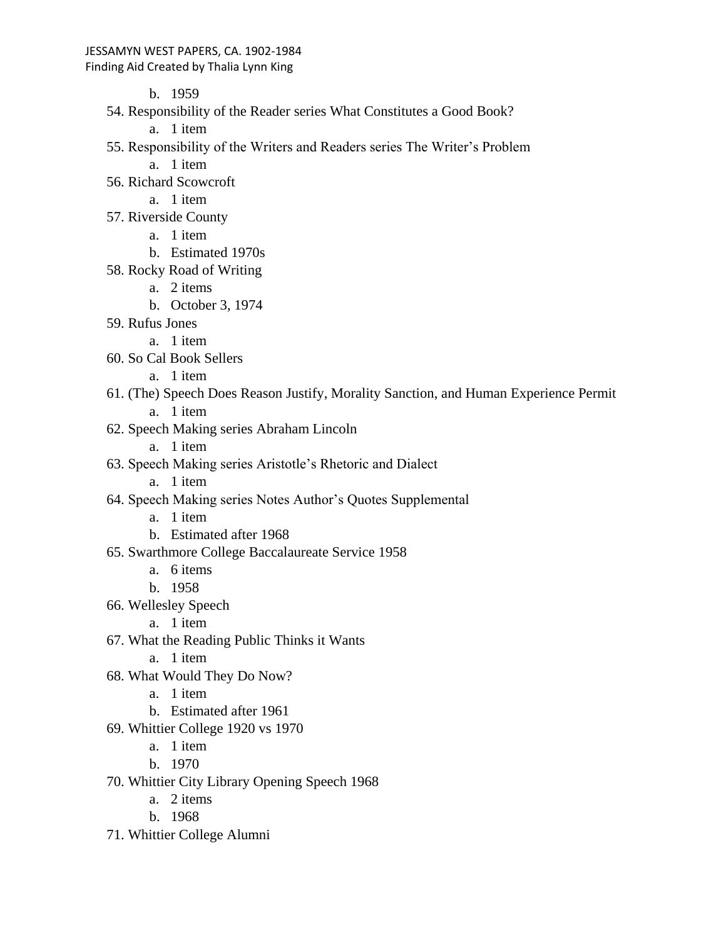#### Finding Aid Created by Thalia Lynn King

b. 1959

- 54. Responsibility of the Reader series What Constitutes a Good Book?
	- a. 1 item
- 55. Responsibility of the Writers and Readers series The Writer's Problem
	- a. 1 item
- 56. Richard Scowcroft
	- a. 1 item
- 57. Riverside County
	- a. 1 item
	- b. Estimated 1970s
- 58. Rocky Road of Writing
	- a. 2 items
	- b. October 3, 1974
- 59. Rufus Jones
	- a. 1 item
- 60. So Cal Book Sellers
	- a. 1 item
- 61. (The) Speech Does Reason Justify, Morality Sanction, and Human Experience Permit a. 1 item
- 62. Speech Making series Abraham Lincoln
	- a. 1 item
- 63. Speech Making series Aristotle's Rhetoric and Dialect
	- a. 1 item
- 64. Speech Making series Notes Author's Quotes Supplemental
	- a. 1 item
	- b. Estimated after 1968
- 65. Swarthmore College Baccalaureate Service 1958
	- a. 6 items
	- b. 1958
- 66. Wellesley Speech
	- a. 1 item
- 67. What the Reading Public Thinks it Wants
	- a. 1 item
- 68. What Would They Do Now?
	- a. 1 item
	- b. Estimated after 1961
- 69. Whittier College 1920 vs 1970
	- a. 1 item
	- b. 1970
- 70. Whittier City Library Opening Speech 1968
	- a. 2 items
	- b. 1968
- 71. Whittier College Alumni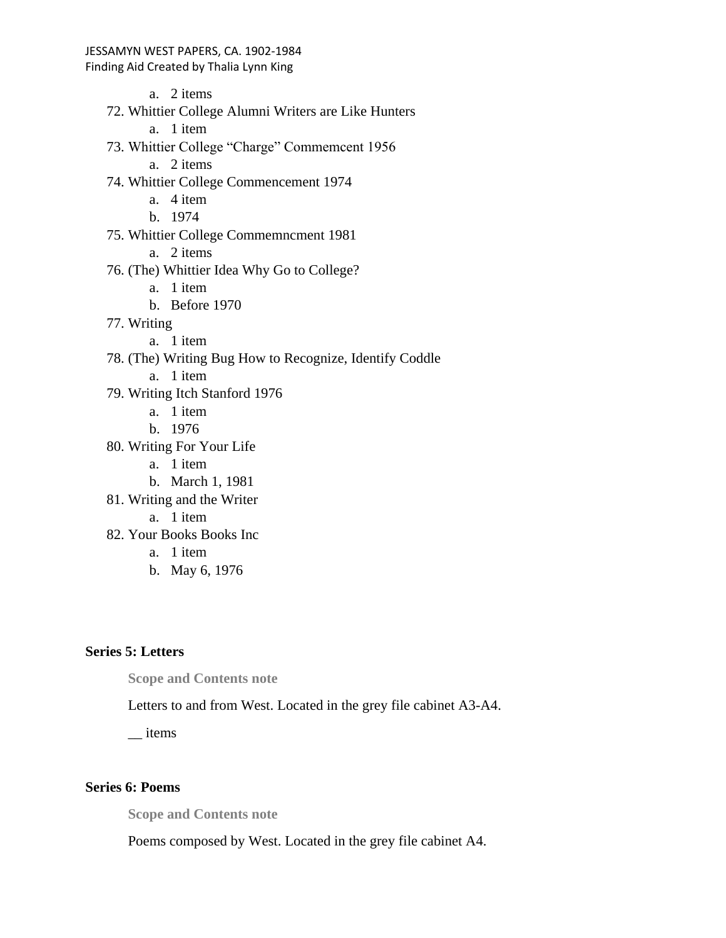Finding Aid Created by Thalia Lynn King

a. 2 items 72. Whittier College Alumni Writers are Like Hunters a. 1 item 73. Whittier College "Charge" Commemcent 1956 a. 2 items 74. Whittier College Commencement 1974 a. 4 item b. 1974 75. Whittier College Commemncment 1981 a. 2 items 76. (The) Whittier Idea Why Go to College? a. 1 item b. Before 1970 77. Writing a. 1 item 78. (The) Writing Bug How to Recognize, Identify Coddle a. 1 item 79. Writing Itch Stanford 1976 a. 1 item b. 1976 80. Writing For Your Life a. 1 item b. March 1, 1981 81. Writing and the Writer a. 1 item 82. Your Books Books Inc a. 1 item b. May 6, 1976

# **Series 5: Letters**

**Scope and Contents note**

Letters to and from West. Located in the grey file cabinet A3-A4.

\_\_ items

## **Series 6: Poems**

**Scope and Contents note**

Poems composed by West. Located in the grey file cabinet A4.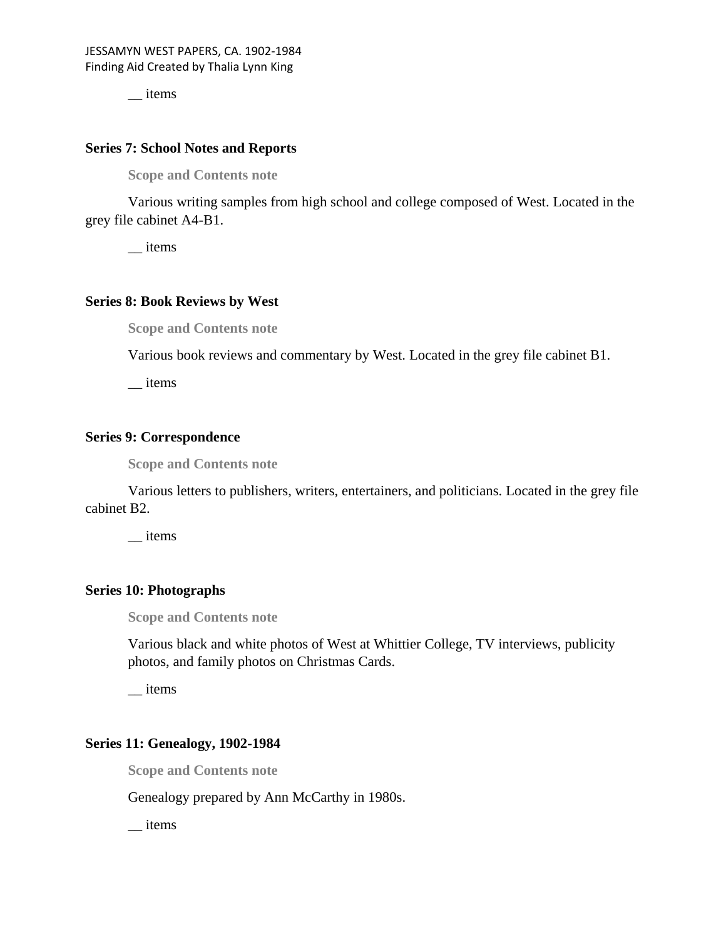\_\_ items

#### **Series 7: School Notes and Reports**

**Scope and Contents note**

Various writing samples from high school and college composed of West. Located in the grey file cabinet A4-B1.

\_\_ items

## **Series 8: Book Reviews by West**

**Scope and Contents note**

Various book reviews and commentary by West. Located in the grey file cabinet B1.

\_\_ items

### **Series 9: Correspondence**

**Scope and Contents note**

Various letters to publishers, writers, entertainers, and politicians. Located in the grey file cabinet B2.

\_\_ items

### **Series 10: Photographs**

**Scope and Contents note**

Various black and white photos of West at Whittier College, TV interviews, publicity photos, and family photos on Christmas Cards.

\_\_ items

## **Series 11: Genealogy, 1902-1984**

**Scope and Contents note**

Genealogy prepared by Ann McCarthy in 1980s.

\_\_ items